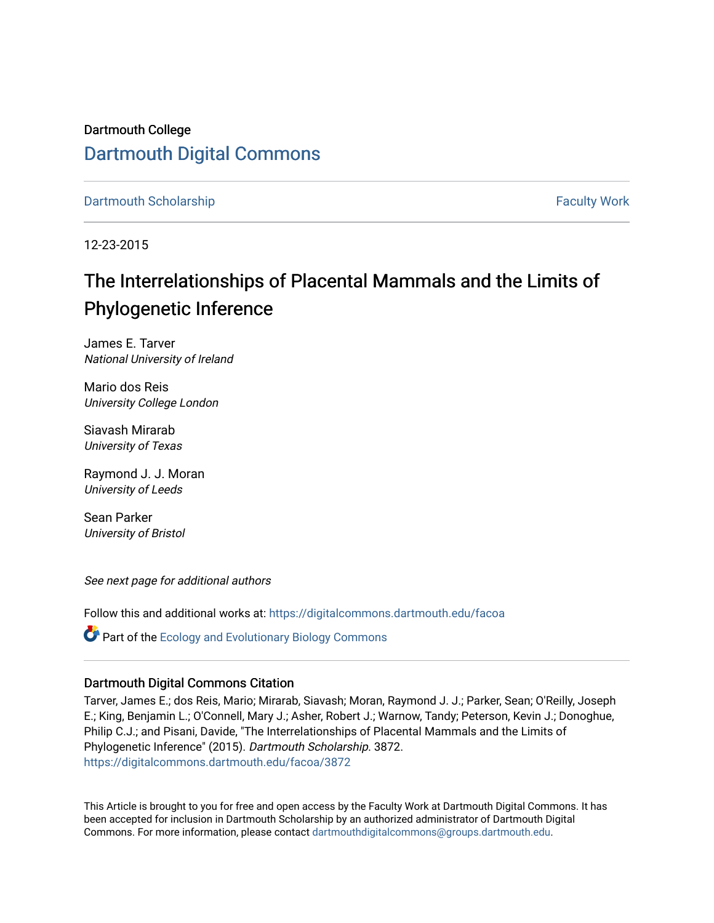Dartmouth College [Dartmouth Digital Commons](https://digitalcommons.dartmouth.edu/) 

[Dartmouth Scholarship](https://digitalcommons.dartmouth.edu/facoa) [Faculty Work](https://digitalcommons.dartmouth.edu/faculty) and The Basic Scholarship Faculty Work Faculty Work

12-23-2015

# The Interrelationships of Placental Mammals and the Limits of Phylogenetic Inference

James E. Tarver National University of Ireland

Mario dos Reis University College London

Siavash Mirarab University of Texas

Raymond J. J. Moran University of Leeds

Sean Parker University of Bristol

See next page for additional authors

Follow this and additional works at: [https://digitalcommons.dartmouth.edu/facoa](https://digitalcommons.dartmouth.edu/facoa?utm_source=digitalcommons.dartmouth.edu%2Ffacoa%2F3872&utm_medium=PDF&utm_campaign=PDFCoverPages)

 $\bullet$  Part of the [Ecology and Evolutionary Biology Commons](http://network.bepress.com/hgg/discipline/14?utm_source=digitalcommons.dartmouth.edu%2Ffacoa%2F3872&utm_medium=PDF&utm_campaign=PDFCoverPages)

#### Dartmouth Digital Commons Citation

Tarver, James E.; dos Reis, Mario; Mirarab, Siavash; Moran, Raymond J. J.; Parker, Sean; O'Reilly, Joseph E.; King, Benjamin L.; O'Connell, Mary J.; Asher, Robert J.; Warnow, Tandy; Peterson, Kevin J.; Donoghue, Philip C.J.; and Pisani, Davide, "The Interrelationships of Placental Mammals and the Limits of Phylogenetic Inference" (2015). Dartmouth Scholarship. 3872. [https://digitalcommons.dartmouth.edu/facoa/3872](https://digitalcommons.dartmouth.edu/facoa/3872?utm_source=digitalcommons.dartmouth.edu%2Ffacoa%2F3872&utm_medium=PDF&utm_campaign=PDFCoverPages) 

This Article is brought to you for free and open access by the Faculty Work at Dartmouth Digital Commons. It has been accepted for inclusion in Dartmouth Scholarship by an authorized administrator of Dartmouth Digital Commons. For more information, please contact [dartmouthdigitalcommons@groups.dartmouth.edu](mailto:dartmouthdigitalcommons@groups.dartmouth.edu).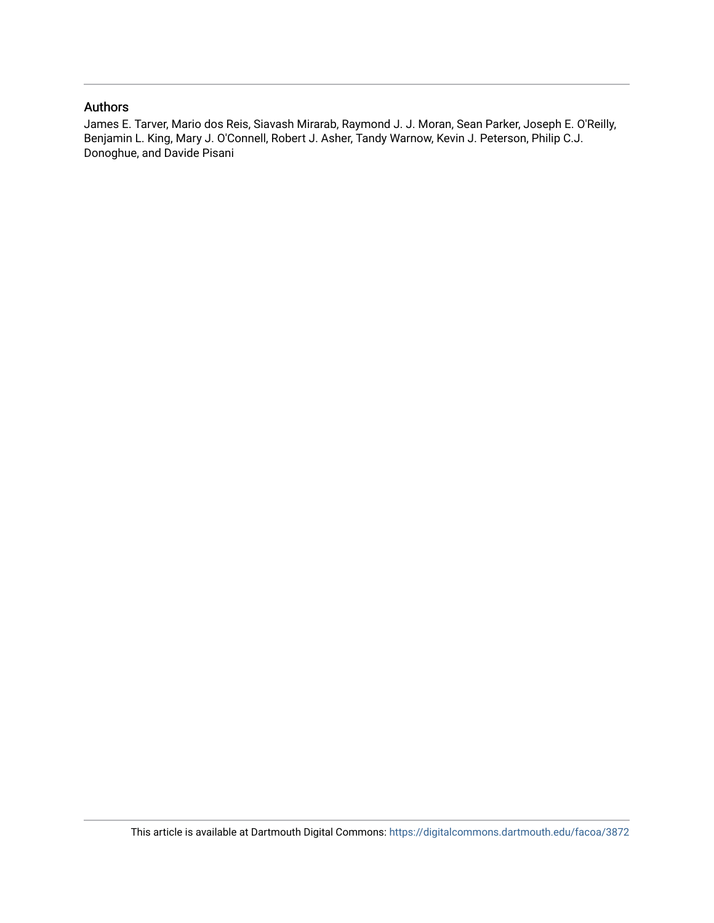# Authors

James E. Tarver, Mario dos Reis, Siavash Mirarab, Raymond J. J. Moran, Sean Parker, Joseph E. O'Reilly, Benjamin L. King, Mary J. O'Connell, Robert J. Asher, Tandy Warnow, Kevin J. Peterson, Philip C.J. Donoghue, and Davide Pisani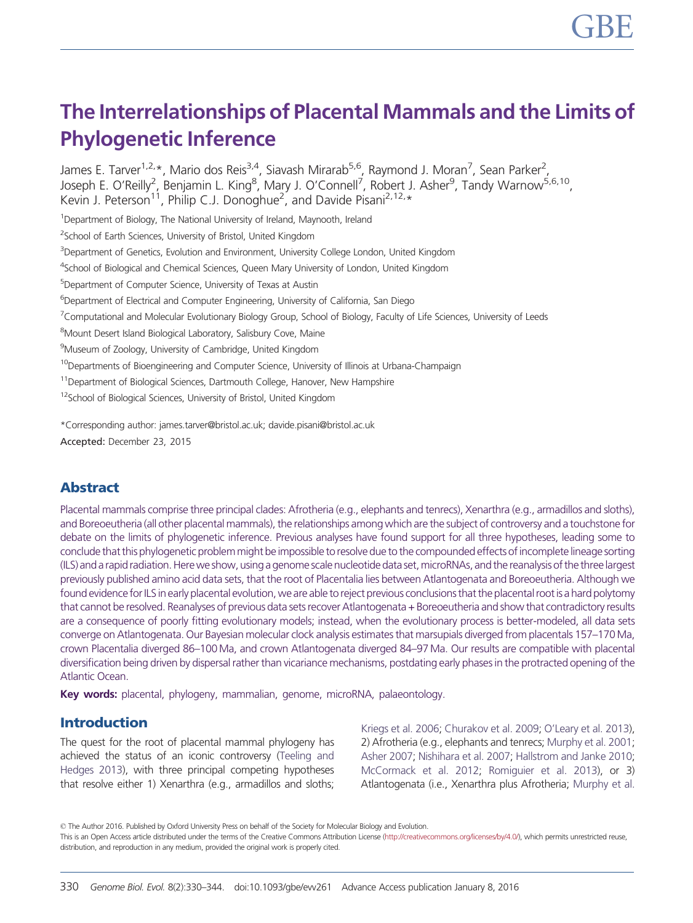# The Interrelationships of Placental Mammals and the Limits of Phylogenetic Inference

James E. Tarver<sup>1,2,</sup>\*, Mario dos Reis<sup>3,4</sup>, Siavash Mirarab<sup>5,6</sup>, Raymond J. Moran<sup>7</sup>, Sean Parker<sup>2</sup>, Joseph E. O'Reilly<sup>2</sup>, Benjamin L. King<sup>8</sup>, Mary J. O'Connell<sup>7</sup>, Robert J. Asher<sup>9</sup>, Tandy Warnow<sup>5,6,10</sup>, Kevin J. Peterson<sup>11</sup>, Philip C.J. Donoghue<sup>2</sup>, and Davide Pisani<sup>2,12,</sup>\*

<sup>1</sup>Department of Biology, The National University of Ireland, Maynooth, Ireland

<sup>2</sup>School of Earth Sciences, University of Bristol, United Kingdom

<sup>3</sup>Department of Genetics, Evolution and Environment, University College London, United Kingdom

<sup>4</sup>School of Biological and Chemical Sciences, Queen Mary University of London, United Kingdom

<sup>5</sup>Department of Computer Science, University of Texas at Austin

<sup>6</sup>Department of Electrical and Computer Engineering, University of California, San Diego

<sup>7</sup> Computational and Molecular Evolutionary Biology Group, School of Biology, Faculty of Life Sciences, University of Leeds

<sup>8</sup>Mount Desert Island Biological Laboratory, Salisbury Cove, Maine

<sup>9</sup>Museum of Zoology, University of Cambridge, United Kingdom

<sup>10</sup>Departments of Bioengineering and Computer Science, University of Illinois at Urbana-Champaign

<sup>11</sup>Department of Biological Sciences, Dartmouth College, Hanover, New Hampshire

<sup>12</sup>School of Biological Sciences, University of Bristol, United Kingdom

\*Corresponding author: james.tarver@bristol.ac.uk; davide.pisani@bristol.ac.uk

Accepted: December 23, 2015

# Abstract

Placental mammals comprise three principal clades: Afrotheria (e.g., elephants and tenrecs), Xenarthra (e.g., armadillos and sloths), and Boreoeutheria (all other placental mammals), the relationships among which are the subject of controversy and a touchstone for debate on the limits of phylogenetic inference. Previous analyses have found support for all three hypotheses, leading some to conclude that this phylogenetic problem might be impossible to resolve due to the compounded effects of incomplete lineage sorting (ILS) and a rapid radiation. Here we show, using a genome scale nucleotide data set, microRNAs, and the reanalysis of the three largest previously published amino acid data sets, that the root of Placentalia lies between Atlantogenata and Boreoeutheria. Although we found evidence for ILS in early placental evolution, we are able to reject previous conclusions that the placental root is a hard polytomy that cannot be resolved. Reanalyses of previous data sets recover Atlantogenata + Boreoeutheria and show that contradictory results are a consequence of poorly fitting evolutionary models; instead, when the evolutionary process is better-modeled, all data sets converge on Atlantogenata. Our Bayesian molecular clock analysis estimates that marsupials diverged from placentals 157–170 Ma, crown Placentalia diverged 86–100 Ma, and crown Atlantogenata diverged 84–97 Ma. Our results are compatible with placental diversification being driven by dispersal rather than vicariance mechanisms, postdating early phases in the protracted opening of the Atlantic Ocean.

Key words: placental, phylogeny, mammalian, genome, microRNA, palaeontology.

# Introduction

The quest for the root of placental mammal phylogeny has achieved the status of an iconic controversy [\(Teeling and](#page-15-0) [Hedges 2013](#page-15-0)), with three principal competing hypotheses that resolve either 1) Xenarthra (e.g., armadillos and sloths;

[Kriegs et al. 2006](#page-14-0); [Churakov et al. 2009](#page-14-0); [O'Leary et al. 2013\)](#page-15-0), 2) Afrotheria (e.g., elephants and tenrecs; [Murphy et al. 2001](#page-15-0); [Asher 2007;](#page-14-0) [Nishihara et al. 2007;](#page-15-0) [Hallstrom and Janke 2010](#page-14-0); [McCormack et al. 2012;](#page-15-0) [Romiguier et al. 2013](#page-15-0)), or 3) Atlantogenata (i.e., Xenarthra plus Afrotheria; [Murphy et al.](#page-15-0)

© The Author 2016. Published by Oxford University Press on behalf of the Society for Molecular Biology and Evolution. This is an Open Access article distributed under the terms of the Creative Commons Attribution License [\(http://creativecommons.org/licenses/by/4.0/\)](http://creativecommons.org/licenses/by/4.0/), which permits unrestricted reuse, distribution, and reproduction in any medium, provided the original work is properly cited.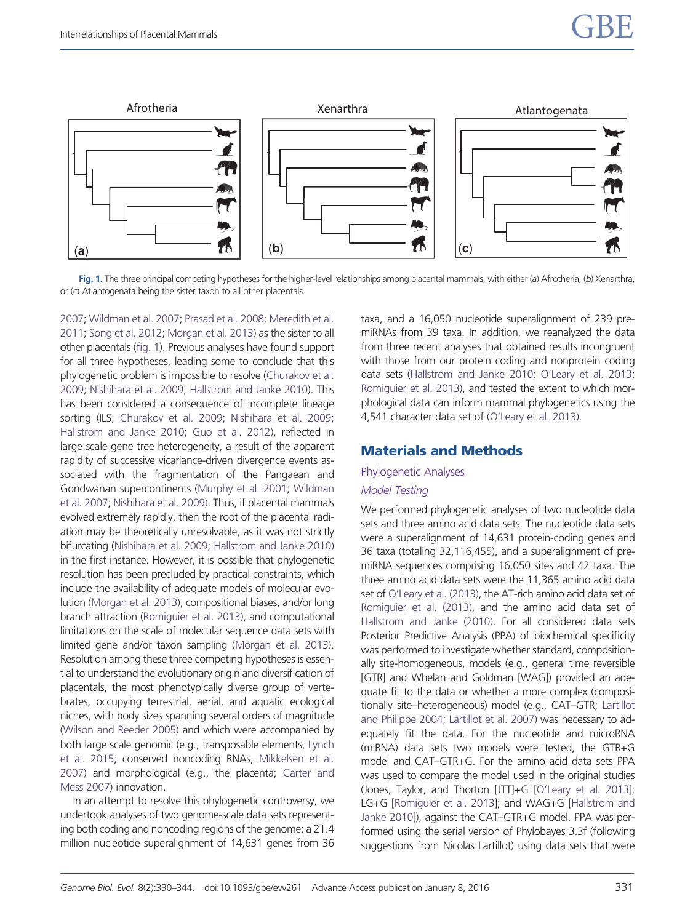

Fig. 1. The three principal competing hypotheses for the higher-level relationships among placental mammals, with either (a) Afrotheria, (b) Xenarthra, or (c) Atlantogenata being the sister taxon to all other placentals.

[2007;](#page-15-0) [Wildman et al. 2007](#page-15-0); [Prasad et al. 2008;](#page-15-0) [Meredith et al.](#page-15-0) [2011;](#page-15-0) [Song et al. 2012](#page-15-0); [Morgan et al. 2013\)](#page-15-0) as the sister to all other placentals (fig. 1). Previous analyses have found support for all three hypotheses, leading some to conclude that this phylogenetic problem is impossible to resolve [\(Churakov et al.](#page-14-0) [2009;](#page-14-0) [Nishihara et al. 2009;](#page-15-0) [Hallstrom and Janke 2010\)](#page-14-0). This has been considered a consequence of incomplete lineage sorting (ILS; [Churakov et al. 2009](#page-14-0); [Nishihara et al. 2009;](#page-15-0) [Hallstrom and Janke 2010](#page-14-0); [Guo et al. 2012\)](#page-14-0), reflected in large scale gene tree heterogeneity, a result of the apparent rapidity of successive vicariance-driven divergence events associated with the fragmentation of the Pangaean and Gondwanan supercontinents [\(Murphy et al. 2001;](#page-15-0) [Wildman](#page-15-0) [et al. 2007;](#page-15-0) [Nishihara et al. 2009](#page-15-0)). Thus, if placental mammals evolved extremely rapidly, then the root of the placental radiation may be theoretically unresolvable, as it was not strictly bifurcating [\(Nishihara et al. 2009](#page-15-0); [Hallstrom and Janke 2010\)](#page-14-0) in the first instance. However, it is possible that phylogenetic resolution has been precluded by practical constraints, which include the availability of adequate models of molecular evolution [\(Morgan et al. 2013](#page-15-0)), compositional biases, and/or long branch attraction [\(Romiguier et al. 2013\)](#page-15-0), and computational limitations on the scale of molecular sequence data sets with limited gene and/or taxon sampling [\(Morgan et al. 2013](#page-15-0)). Resolution among these three competing hypotheses is essential to understand the evolutionary origin and diversification of placentals, the most phenotypically diverse group of vertebrates, occupying terrestrial, aerial, and aquatic ecological niches, with body sizes spanning several orders of magnitude [\(Wilson and Reeder 2005](#page-15-0)) and which were accompanied by both large scale genomic (e.g., transposable elements, [Lynch](#page-15-0) [et al. 2015;](#page-15-0) conserved noncoding RNAs, [Mikkelsen et al.](#page-15-0) [2007\)](#page-15-0) and morphological (e.g., the placenta; [Carter and](#page-14-0) [Mess 2007](#page-14-0)) innovation.

In an attempt to resolve this phylogenetic controversy, we undertook analyses of two genome-scale data sets representing both coding and noncoding regions of the genome: a 21.4 million nucleotide superalignment of 14,631 genes from 36 taxa, and a 16,050 nucleotide superalignment of 239 premiRNAs from 39 taxa. In addition, we reanalyzed the data from three recent analyses that obtained results incongruent with those from our protein coding and nonprotein coding data sets ([Hallstrom and Janke 2010](#page-14-0); [O'Leary et al. 2013](#page-15-0); [Romiguier et al. 2013](#page-15-0)), and tested the extent to which morphological data can inform mammal phylogenetics using the 4,541 character data set of [\(O'Leary et al. 2013](#page-15-0)).

# Materials and Methods

#### Phylogenetic Analyses

### Model Testing

We performed phylogenetic analyses of two nucleotide data sets and three amino acid data sets. The nucleotide data sets were a superalignment of 14,631 protein-coding genes and 36 taxa (totaling 32,116,455), and a superalignment of premiRNA sequences comprising 16,050 sites and 42 taxa. The three amino acid data sets were the 11,365 amino acid data set of [O'Leary et al. \(2013\)](#page-15-0), the AT-rich amino acid data set of [Romiguier et al. \(2013\),](#page-15-0) and the amino acid data set of [Hallstrom and Janke \(2010\).](#page-14-0) For all considered data sets Posterior Predictive Analysis (PPA) of biochemical specificity was performed to investigate whether standard, compositionally site-homogeneous, models (e.g., general time reversible [GTR] and Whelan and Goldman [WAG]) provided an adequate fit to the data or whether a more complex (compositionally site–heterogeneous) model (e.g., CAT–GTR; [Lartillot](#page-14-0) [and Philippe 2004;](#page-14-0) [Lartillot et al. 2007](#page-14-0)) was necessary to adequately fit the data. For the nucleotide and microRNA (miRNA) data sets two models were tested, the GTR+G model and CAT–GTR+G. For the amino acid data sets PPA was used to compare the model used in the original studies (Jones, Taylor, and Thorton [JTT]+G [\[O'Leary et al. 2013\]](#page-15-0); LG+G [\[Romiguier et al. 2013](#page-15-0)]; and WAG+G [\[Hallstrom and](#page-14-0) [Janke 2010](#page-14-0)]), against the CAT–GTR+G model. PPA was performed using the serial version of Phylobayes 3.3f (following suggestions from Nicolas Lartillot) using data sets that were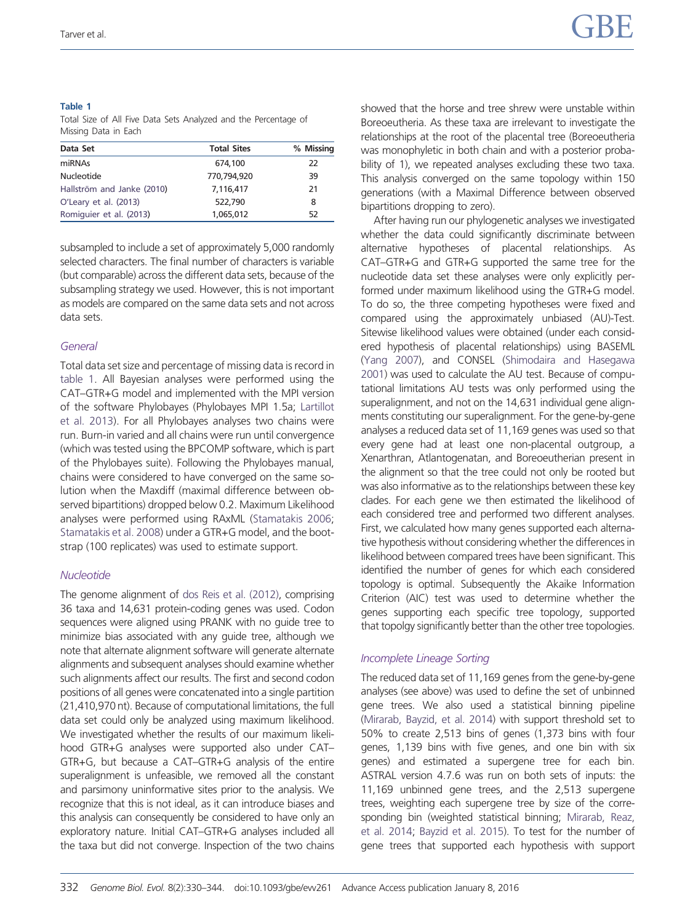#### Table 1

Total Size of All Five Data Sets Analyzed and the Percentage of Missing Data in Each

| Data Set                   | <b>Total Sites</b> | % Missing |
|----------------------------|--------------------|-----------|
| miRNAs                     | 674,100            | 22        |
| Nucleotide                 | 770,794,920        | 39        |
| Hallström and Janke (2010) | 7,116,417          | 21        |
| O'Leary et al. (2013)      | 522,790            | 8         |
| Romiquier et al. (2013)    | 1,065,012          | 52        |

subsampled to include a set of approximately 5,000 randomly selected characters. The final number of characters is variable (but comparable) across the different data sets, because of the subsampling strategy we used. However, this is not important as models are compared on the same data sets and not across data sets.

# **General**

Total data set size and percentage of missing data is record in table 1. All Bayesian analyses were performed using the CAT–GTR+G model and implemented with the MPI version of the software Phylobayes (Phylobayes MPI 1.5a; [Lartillot](#page-14-0) [et al. 2013](#page-14-0)). For all Phylobayes analyses two chains were run. Burn-in varied and all chains were run until convergence (which was tested using the BPCOMP software, which is part of the Phylobayes suite). Following the Phylobayes manual, chains were considered to have converged on the same solution when the Maxdiff (maximal difference between observed bipartitions) dropped below 0.2. Maximum Likelihood analyses were performed using RAxML [\(Stamatakis 2006;](#page-15-0) [Stamatakis et al. 2008\)](#page-15-0) under a GTR+G model, and the bootstrap (100 replicates) was used to estimate support.

# **Nucleotide**

The genome alignment of [dos Reis et al. \(2012\),](#page-14-0) comprising 36 taxa and 14,631 protein-coding genes was used. Codon sequences were aligned using PRANK with no guide tree to minimize bias associated with any guide tree, although we note that alternate alignment software will generate alternate alignments and subsequent analyses should examine whether such alignments affect our results. The first and second codon positions of all genes were concatenated into a single partition (21,410,970 nt). Because of computational limitations, the full data set could only be analyzed using maximum likelihood. We investigated whether the results of our maximum likelihood GTR+G analyses were supported also under CAT– GTR+G, but because a CAT–GTR+G analysis of the entire superalignment is unfeasible, we removed all the constant and parsimony uninformative sites prior to the analysis. We recognize that this is not ideal, as it can introduce biases and this analysis can consequently be considered to have only an exploratory nature. Initial CAT–GTR+G analyses included all the taxa but did not converge. Inspection of the two chains showed that the horse and tree shrew were unstable within Boreoeutheria. As these taxa are irrelevant to investigate the relationships at the root of the placental tree (Boreoeutheria was monophyletic in both chain and with a posterior probability of 1), we repeated analyses excluding these two taxa. This analysis converged on the same topology within 150 generations (with a Maximal Difference between observed bipartitions dropping to zero).

After having run our phylogenetic analyses we investigated whether the data could significantly discriminate between alternative hypotheses of placental relationships. As CAT–GTR+G and GTR+G supported the same tree for the nucleotide data set these analyses were only explicitly performed under maximum likelihood using the GTR+G model. To do so, the three competing hypotheses were fixed and compared using the approximately unbiased (AU)-Test. Sitewise likelihood values were obtained (under each considered hypothesis of placental relationships) using BASEML ([Yang 2007\)](#page-15-0), and CONSEL [\(Shimodaira and Hasegawa](#page-15-0) [2001](#page-15-0)) was used to calculate the AU test. Because of computational limitations AU tests was only performed using the superalignment, and not on the 14,631 individual gene alignments constituting our superalignment. For the gene-by-gene analyses a reduced data set of 11,169 genes was used so that every gene had at least one non-placental outgroup, a Xenarthran, Atlantogenatan, and Boreoeutherian present in the alignment so that the tree could not only be rooted but was also informative as to the relationships between these key clades. For each gene we then estimated the likelihood of each considered tree and performed two different analyses. First, we calculated how many genes supported each alternative hypothesis without considering whether the differences in likelihood between compared trees have been significant. This identified the number of genes for which each considered topology is optimal. Subsequently the Akaike Information Criterion (AIC) test was used to determine whether the genes supporting each specific tree topology, supported that topolgy significantly better than the other tree topologies.

# Incomplete Lineage Sorting

The reduced data set of 11,169 genes from the gene-by-gene analyses (see above) was used to define the set of unbinned gene trees. We also used a statistical binning pipeline ([Mirarab, Bayzid, et al. 2014\)](#page-15-0) with support threshold set to 50% to create 2,513 bins of genes (1,373 bins with four genes, 1,139 bins with five genes, and one bin with six genes) and estimated a supergene tree for each bin. ASTRAL version 4.7.6 was run on both sets of inputs: the 11,169 unbinned gene trees, and the 2,513 supergene trees, weighting each supergene tree by size of the corresponding bin (weighted statistical binning; [Mirarab, Reaz,](#page-15-0) [et al. 2014](#page-15-0); [Bayzid et al. 2015\)](#page-14-0). To test for the number of gene trees that supported each hypothesis with support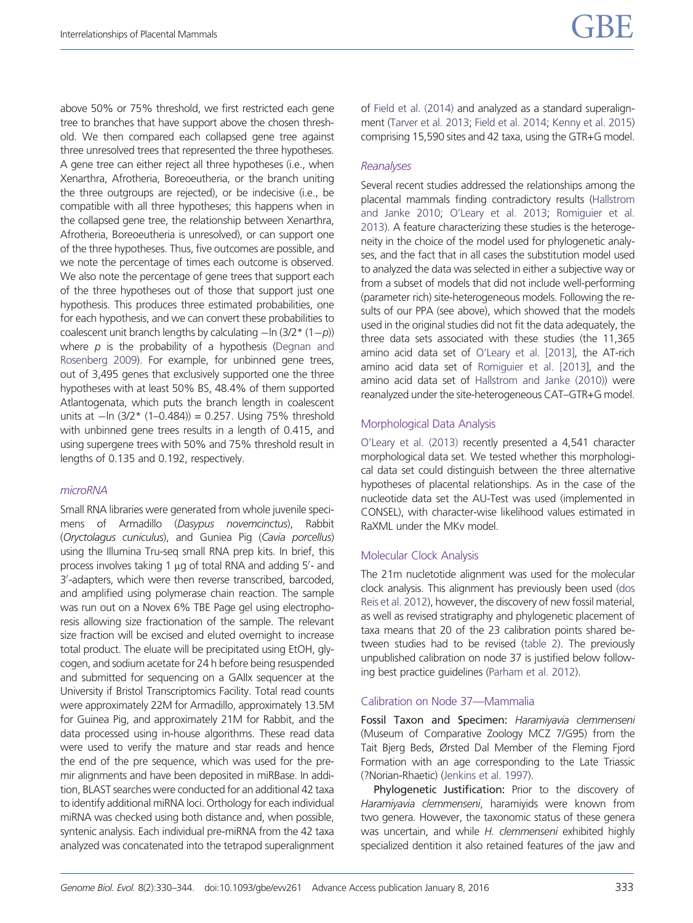above 50% or 75% threshold, we first restricted each gene tree to branches that have support above the chosen threshold. We then compared each collapsed gene tree against three unresolved trees that represented the three hypotheses. A gene tree can either reject all three hypotheses (i.e., when Xenarthra, Afrotheria, Boreoeutheria, or the branch uniting the three outgroups are rejected), or be indecisive (i.e., be compatible with all three hypotheses; this happens when in the collapsed gene tree, the relationship between Xenarthra, Afrotheria, Boreoeutheria is unresolved), or can support one of the three hypotheses. Thus, five outcomes are possible, and we note the percentage of times each outcome is observed. We also note the percentage of gene trees that support each of the three hypotheses out of those that support just one hypothesis. This produces three estimated probabilities, one for each hypothesis, and we can convert these probabilities to coalescent unit branch lengths by calculating  $-\ln \left(3/2 \times (1-\rho)\right)$ where  $p$  is the probability of a hypothesis [\(Degnan and](#page-14-0) [Rosenberg 2009\)](#page-14-0). For example, for unbinned gene trees, out of 3,495 genes that exclusively supported one the three hypotheses with at least 50% BS, 48.4% of them supported Atlantogenata, which puts the branch length in coalescent units at -ln (3/2\* (1–0.484)) = 0.257. Using 75% threshold with unbinned gene trees results in a length of 0.415, and using supergene trees with 50% and 75% threshold result in lengths of 0.135 and 0.192, respectively.

#### microRNA

Small RNA libraries were generated from whole juvenile specimens of Armadillo (Dasypus novemcinctus), Rabbit (Oryctolagus cuniculus), and Guniea Pig (Cavia porcellus) using the Illumina Tru-seq small RNA prep kits. In brief, this process involves taking 1 µg of total RNA and adding 5'- and 3'-adapters, which were then reverse transcribed, barcoded, and amplified using polymerase chain reaction. The sample was run out on a Novex 6% TBE Page gel using electrophoresis allowing size fractionation of the sample. The relevant size fraction will be excised and eluted overnight to increase total product. The eluate will be precipitated using EtOH, glycogen, and sodium acetate for 24 h before being resuspended and submitted for sequencing on a GAIIx sequencer at the University if Bristol Transcriptomics Facility. Total read counts were approximately 22M for Armadillo, approximately 13.5M for Guinea Pig, and approximately 21M for Rabbit, and the data processed using in-house algorithms. These read data were used to verify the mature and star reads and hence the end of the pre sequence, which was used for the premir alignments and have been deposited in miRBase. In addition, BLAST searches were conducted for an additional 42 taxa to identify additional miRNA loci. Orthology for each individual miRNA was checked using both distance and, when possible, syntenic analysis. Each individual pre-miRNA from the 42 taxa analyzed was concatenated into the tetrapod superalignment of [Field et al. \(2014\)](#page-14-0) and analyzed as a standard superalignment ([Tarver et al. 2013](#page-15-0); [Field et al. 2014;](#page-14-0) [Kenny et al. 2015](#page-14-0)) comprising 15,590 sites and 42 taxa, using the GTR+G model.

#### Reanalyses

Several recent studies addressed the relationships among the placental mammals finding contradictory results [\(Hallstrom](#page-14-0) [and Janke 2010](#page-14-0); [O'Leary et al. 2013](#page-15-0); [Romiguier et al.](#page-15-0) [2013](#page-15-0)). A feature characterizing these studies is the heterogeneity in the choice of the model used for phylogenetic analyses, and the fact that in all cases the substitution model used to analyzed the data was selected in either a subjective way or from a subset of models that did not include well-performing (parameter rich) site-heterogeneous models. Following the results of our PPA (see above), which showed that the models used in the original studies did not fit the data adequately, the three data sets associated with these studies (the 11,365 amino acid data set of [O'Leary et al. \[2013\],](#page-15-0) the AT-rich amino acid data set of [Romiguier et al. \[2013\]](#page-15-0), and the amino acid data set of [Hallstrom and Janke \(2010\)\)](#page-14-0) were reanalyzed under the site-heterogeneous CAT–GTR+G model.

#### Morphological Data Analysis

[O'Leary et al. \(2013\)](#page-15-0) recently presented a 4,541 character morphological data set. We tested whether this morphological data set could distinguish between the three alternative hypotheses of placental relationships. As in the case of the nucleotide data set the AU-Test was used (implemented in CONSEL), with character-wise likelihood values estimated in RaXML under the MKv model.

#### Molecular Clock Analysis

The 21m nucletotide alignment was used for the molecular clock analysis. This alignment has previously been used [\(dos](#page-14-0) [Reis et al. 2012](#page-14-0)), however, the discovery of new fossil material, as well as revised stratigraphy and phylogenetic placement of taxa means that 20 of the 23 calibration points shared between studies had to be revised ([table 2](#page-6-0)). The previously unpublished calibration on node 37 is justified below following best practice guidelines [\(Parham et al. 2012](#page-15-0)).

#### Calibration on Node 37—Mammalia

Fossil Taxon and Specimen: Haramiyavia clemmenseni (Museum of Comparative Zoology MCZ 7/G95) from the Tait Bjerg Beds, Ørsted Dal Member of the Fleming Fjord Formation with an age corresponding to the Late Triassic (?Norian-Rhaetic) ([Jenkins et al. 1997\)](#page-14-0).

Phylogenetic Justification: Prior to the discovery of Haramiyavia clemmenseni, haramiyids were known from two genera. However, the taxonomic status of these genera was uncertain, and while H. clemmenseni exhibited highly specialized dentition it also retained features of the jaw and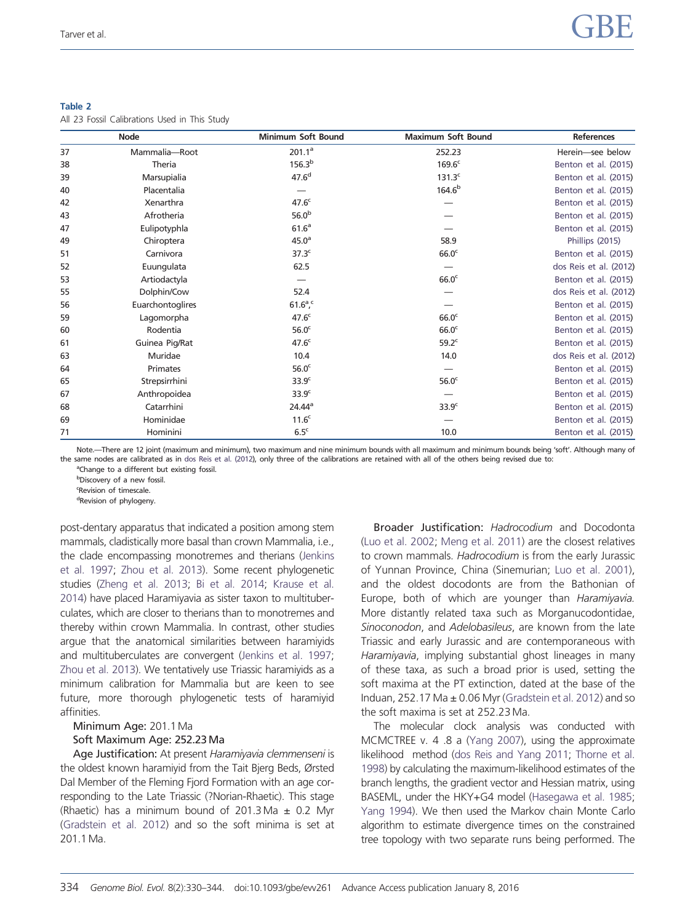#### <span id="page-6-0"></span>Table 2

All 23 Fossil Calibrations Used in This Study

| <b>Node</b> |                  | Minimum Soft Bound | <b>Maximum Soft Bound</b> | <b>References</b>      |  |
|-------------|------------------|--------------------|---------------------------|------------------------|--|
| 37          | Mammalia-Root    | 201.1 <sup>a</sup> | 252.23                    | Herein-see below       |  |
| 38          | Theria           | 156.3 <sup>b</sup> | 169.6 <sup>c</sup>        | Benton et al. (2015)   |  |
| 39          | Marsupialia      | 47.6 <sup>d</sup>  | 131.3 <sup>c</sup>        | Benton et al. (2015)   |  |
| 40          | Placentalia      |                    | 164.6 <sup>b</sup>        | Benton et al. (2015)   |  |
| 42          | Xenarthra        | 47.6 <sup>c</sup>  |                           | Benton et al. (2015)   |  |
| 43          | Afrotheria       | 56.0 <sup>b</sup>  |                           | Benton et al. (2015)   |  |
| 47          | Eulipotyphla     | 61.6 <sup>a</sup>  |                           | Benton et al. (2015)   |  |
| 49          | Chiroptera       | $45.0^{\circ}$     | 58.9                      | Phillips (2015)        |  |
| 51          | Carnivora        | 37.3 <sup>c</sup>  | 66.0 <sup>c</sup>         | Benton et al. (2015)   |  |
| 52          | Euungulata       | 62.5               |                           | dos Reis et al. (2012) |  |
| 53          | Artiodactyla     |                    | 66.0 <sup>c</sup>         | Benton et al. (2015)   |  |
| 55          | Dolphin/Cow      | 52.4               |                           | dos Reis et al. (2012) |  |
| 56          | Euarchontoglires | $61.6^{\circ}$ ,   |                           | Benton et al. (2015)   |  |
| 59          | Lagomorpha       | 47.6 <sup>c</sup>  | 66.0 <sup>c</sup>         | Benton et al. (2015)   |  |
| 60          | Rodentia         | 56.0 <sup>c</sup>  | 66.0 <sup>c</sup>         | Benton et al. (2015)   |  |
| 61          | Guinea Pig/Rat   | 47.6 <sup>c</sup>  | 59.2 <sup>c</sup>         | Benton et al. (2015)   |  |
| 63          | Muridae          | 10.4               | 14.0                      | dos Reis et al. (2012) |  |
| 64          | Primates         | 56.0 <sup>c</sup>  |                           | Benton et al. (2015)   |  |
| 65          | Strepsirrhini    | 33.9 <sup>c</sup>  | 56.0 <sup>c</sup>         | Benton et al. (2015)   |  |
| 67          | Anthropoidea     | 33.9 <sup>c</sup>  |                           | Benton et al. (2015)   |  |
| 68          | Catarrhini       | 24.44 <sup>a</sup> | 33.9 <sup>c</sup>         | Benton et al. (2015)   |  |
| 69          | Hominidae        | 11.6 <sup>c</sup>  |                           | Benton et al. (2015)   |  |
| 71          | Hominini         | 6.5 <sup>c</sup>   | 10.0                      | Benton et al. (2015)   |  |

Note.—There are 12 joint (maximum and minimum), two maximum and nine minimum bounds with all maximum and minimum bounds being 'soft'. Although many of the same nodes are calibrated as in [dos Reis et al. \(2012](#page-14-0)), only three of the calibrations are retained with all of the others being revised due to:

<sup>a</sup>Change to a different but existing fossil.

b Discovery of a new fossil. <sup>c</sup>Revision of timescale.

<sup>d</sup>Revision of phylogeny.

post-dentary apparatus that indicated a position among stem mammals, cladistically more basal than crown Mammalia, i.e., the clade encompassing monotremes and therians ([Jenkins](#page-14-0) [et al. 1997](#page-14-0); [Zhou et al. 2013\)](#page-16-0). Some recent phylogenetic studies ([Zheng et al. 2013](#page-16-0); [Bi et al. 2014](#page-14-0); [Krause et al.](#page-14-0) [2014\)](#page-14-0) have placed Haramiyavia as sister taxon to multituberculates, which are closer to therians than to monotremes and thereby within crown Mammalia. In contrast, other studies argue that the anatomical similarities between haramiyids and multituberculates are convergent [\(Jenkins et al. 1997;](#page-14-0) [Zhou et al. 2013](#page-16-0)). We tentatively use Triassic haramiyids as a minimum calibration for Mammalia but are keen to see future, more thorough phylogenetic tests of haramiyid affinities.

## Minimum Age: 201.1 Ma Soft Maximum Age: 252.23Ma

Age Justification: At present Haramiyavia clemmenseni is the oldest known haramiyid from the Tait Bjerg Beds, Ørsted Dal Member of the Fleming Fjord Formation with an age corresponding to the Late Triassic (?Norian-Rhaetic). This stage (Rhaetic) has a minimum bound of 201.3 Ma  $\pm$  0.2 Myr [\(Gradstein et al. 2012\)](#page-14-0) and so the soft minima is set at 201.1 Ma.

Broader Justification: Hadrocodium and Docodonta ([Luo et al. 2002;](#page-15-0) [Meng et al. 2011\)](#page-15-0) are the closest relatives to crown mammals. Hadrocodium is from the early Jurassic of Yunnan Province, China (Sinemurian; [Luo et al. 2001\)](#page-14-0), and the oldest docodonts are from the Bathonian of Europe, both of which are younger than Haramiyavia. More distantly related taxa such as Morganucodontidae, Sinoconodon, and Adelobasileus, are known from the late Triassic and early Jurassic and are contemporaneous with Haramiyavia, implying substantial ghost lineages in many of these taxa, as such a broad prior is used, setting the soft maxima at the PT extinction, dated at the base of the Induan, 252.17 Ma  $\pm$  0.06 Myr ([Gradstein et al. 2012\)](#page-14-0) and so the soft maxima is set at 252.23 Ma.

The molecular clock analysis was conducted with MCMCTREE v. 4 .8 a [\(Yang 2007\)](#page-15-0), using the approximate likelihood method ([dos Reis and Yang 2011;](#page-14-0) [Thorne et al.](#page-15-0) [1998](#page-15-0)) by calculating the maximum-likelihood estimates of the branch lengths, the gradient vector and Hessian matrix, using BASEML, under the HKY+G4 model [\(Hasegawa et al. 1985](#page-14-0); [Yang 1994](#page-15-0)). We then used the Markov chain Monte Carlo algorithm to estimate divergence times on the constrained tree topology with two separate runs being performed. The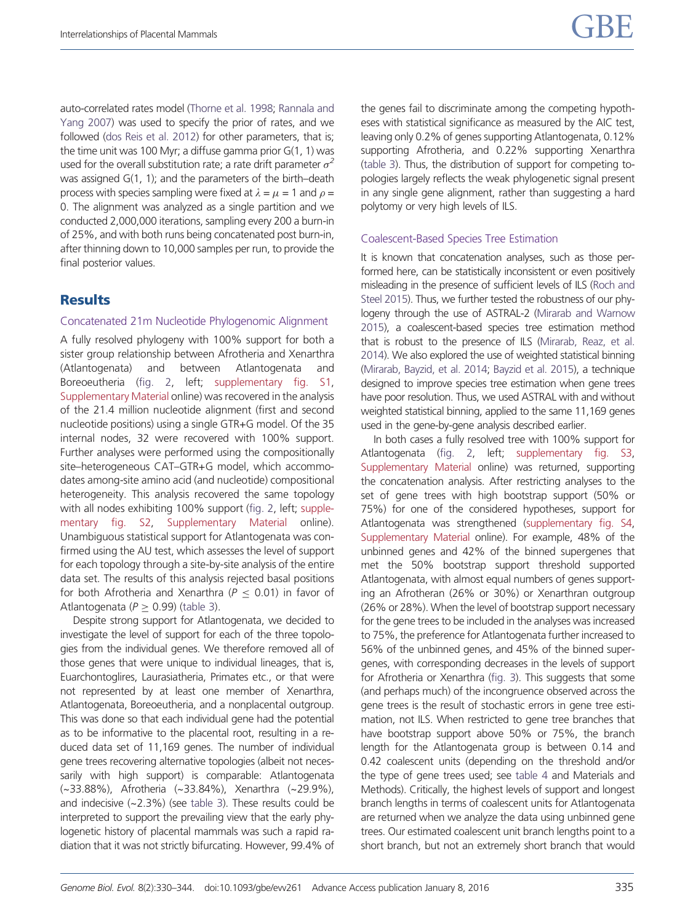auto-correlated rates model [\(Thorne et al. 1998;](#page-15-0) [Rannala and](#page-15-0) [Yang 2007\)](#page-15-0) was used to specify the prior of rates, and we followed [\(dos Reis et al. 2012\)](#page-14-0) for other parameters, that is; the time unit was 100 Myr; a diffuse gamma prior  $G(1, 1)$  was used for the overall substitution rate; a rate drift parameter  $\sigma^2$ was assigned G(1, 1); and the parameters of the birth–death process with species sampling were fixed at  $\lambda = \mu = 1$  and  $\rho =$ 0. The alignment was analyzed as a single partition and we conducted 2,000,000 iterations, sampling every 200 a burn-in of 25%, and with both runs being concatenated post burn-in, after thinning down to 10,000 samples per run, to provide the final posterior values.

# **Results**

#### Concatenated 21m Nucleotide Phylogenomic Alignment

A fully resolved phylogeny with 100% support for both a sister group relationship between Afrotheria and Xenarthra (Atlantogenata) and between Atlantogenata and Boreoeutheria ([fig. 2](#page-8-0), left; [supplementary fig. S1,](http://gbe.oxfordjournals.org/lookup/suppl/doi:10.1093/gbe/evv261/-/DC1) [Supplementary Material](http://gbe.oxfordjournals.org/lookup/suppl/doi:10.1093/gbe/evv261/-/DC1) online) was recovered in the analysis of the 21.4 million nucleotide alignment (first and second nucleotide positions) using a single GTR+G model. Of the 35 internal nodes, 32 were recovered with 100% support. Further analyses were performed using the compositionally site–heterogeneous CAT–GTR+G model, which accommodates among-site amino acid (and nucleotide) compositional heterogeneity. This analysis recovered the same topology with all nodes exhibiting 100% support [\(fig. 2](#page-8-0), left; [supple](http://gbe.oxfordjournals.org/lookup/suppl/doi:10.1093/gbe/evv261/-/DC1)[mentary fig. S2,](http://gbe.oxfordjournals.org/lookup/suppl/doi:10.1093/gbe/evv261/-/DC1) [Supplementary Material](http://gbe.oxfordjournals.org/lookup/suppl/doi:10.1093/gbe/evv261/-/DC1) online). Unambiguous statistical support for Atlantogenata was confirmed using the AU test, which assesses the level of support for each topology through a site-by-site analysis of the entire data set. The results of this analysis rejected basal positions for both Afrotheria and Xenarthra ( $P \le 0.01$ ) in favor of Atlantogenata ( $P \ge 0.99$ ) [\(table 3\)](#page-9-0).

Despite strong support for Atlantogenata, we decided to investigate the level of support for each of the three topologies from the individual genes. We therefore removed all of those genes that were unique to individual lineages, that is, Euarchontoglires, Laurasiatheria, Primates etc., or that were not represented by at least one member of Xenarthra, Atlantogenata, Boreoeutheria, and a nonplacental outgroup. This was done so that each individual gene had the potential as to be informative to the placental root, resulting in a reduced data set of 11,169 genes. The number of individual gene trees recovering alternative topologies (albeit not necessarily with high support) is comparable: Atlantogenata (~33.88%), Afrotheria (~33.84%), Xenarthra (~29.9%), and indecisive (~2.3%) (see [table 3](#page-9-0)). These results could be interpreted to support the prevailing view that the early phylogenetic history of placental mammals was such a rapid radiation that it was not strictly bifurcating. However, 99.4% of the genes fail to discriminate among the competing hypotheses with statistical significance as measured by the AIC test, leaving only 0.2% of genes supporting Atlantogenata, 0.12% supporting Afrotheria, and 0.22% supporting Xenarthra ([table 3\)](#page-9-0). Thus, the distribution of support for competing topologies largely reflects the weak phylogenetic signal present in any single gene alignment, rather than suggesting a hard polytomy or very high levels of ILS.

#### Coalescent-Based Species Tree Estimation

It is known that concatenation analyses, such as those performed here, can be statistically inconsistent or even positively misleading in the presence of sufficient levels of ILS [\(Roch and](#page-15-0) [Steel 2015](#page-15-0)). Thus, we further tested the robustness of our phylogeny through the use of ASTRAL-2 ([Mirarab and Warnow](#page-15-0) [2015](#page-15-0)), a coalescent-based species tree estimation method that is robust to the presence of ILS [\(Mirarab, Reaz, et al.](#page-15-0) [2014](#page-15-0)). We also explored the use of weighted statistical binning ([Mirarab, Bayzid, et al. 2014;](#page-15-0) [Bayzid et al. 2015](#page-14-0)), a technique designed to improve species tree estimation when gene trees have poor resolution. Thus, we used ASTRAL with and without weighted statistical binning, applied to the same 11,169 genes used in the gene-by-gene analysis described earlier.

In both cases a fully resolved tree with 100% support for Atlantogenata [\(fig. 2](#page-8-0), left; [supplementary fig. S3](http://gbe.oxfordjournals.org/lookup/suppl/doi:10.1093/gbe/evv261/-/DC1), [Supplementary Material](http://gbe.oxfordjournals.org/lookup/suppl/doi:10.1093/gbe/evv261/-/DC1) online) was returned, supporting the concatenation analysis. After restricting analyses to the set of gene trees with high bootstrap support (50% or 75%) for one of the considered hypotheses, support for Atlantogenata was strengthened [\(supplementary fig. S4](http://gbe.oxfordjournals.org/lookup/suppl/doi:10.1093/gbe/evv261/-/DC1), [Supplementary Material](http://gbe.oxfordjournals.org/lookup/suppl/doi:10.1093/gbe/evv261/-/DC1) online). For example, 48% of the unbinned genes and 42% of the binned supergenes that met the 50% bootstrap support threshold supported Atlantogenata, with almost equal numbers of genes supporting an Afrotheran (26% or 30%) or Xenarthran outgroup (26% or 28%). When the level of bootstrap support necessary for the gene trees to be included in the analyses was increased to 75%, the preference for Atlantogenata further increased to 56% of the unbinned genes, and 45% of the binned supergenes, with corresponding decreases in the levels of support for Afrotheria or Xenarthra [\(fig. 3](#page-9-0)). This suggests that some (and perhaps much) of the incongruence observed across the gene trees is the result of stochastic errors in gene tree estimation, not ILS. When restricted to gene tree branches that have bootstrap support above 50% or 75%, the branch length for the Atlantogenata group is between 0.14 and 0.42 coalescent units (depending on the threshold and/or the type of gene trees used; see [table 4](#page-9-0) and Materials and Methods). Critically, the highest levels of support and longest branch lengths in terms of coalescent units for Atlantogenata are returned when we analyze the data using unbinned gene trees. Our estimated coalescent unit branch lengths point to a short branch, but not an extremely short branch that would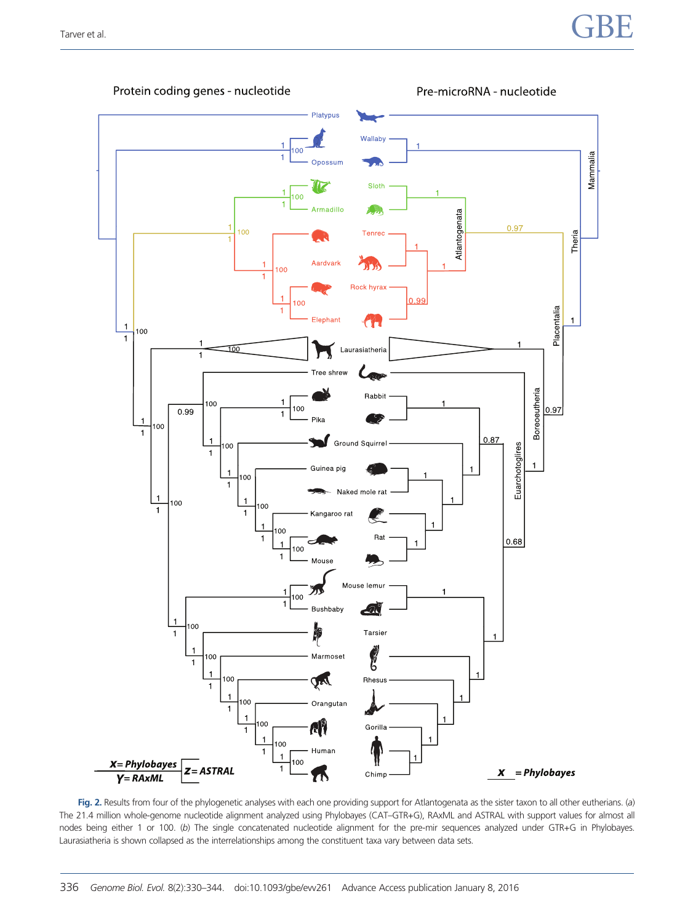<span id="page-8-0"></span>

Protein coding genes - nucleotide



Fig. 2. Results from four of the phylogenetic analyses with each one providing support for Atlantogenata as the sister taxon to all other eutherians. (a) The 21.4 million whole-genome nucleotide alignment analyzed using Phylobayes (CAT–GTR+G), RAxML and ASTRAL with support values for almost all nodes being either 1 or 100. (b) The single concatenated nucleotide alignment for the pre-mir sequences analyzed under GTR+G in Phylobayes. Laurasiatheria is shown collapsed as the interrelationships among the constituent taxa vary between data sets.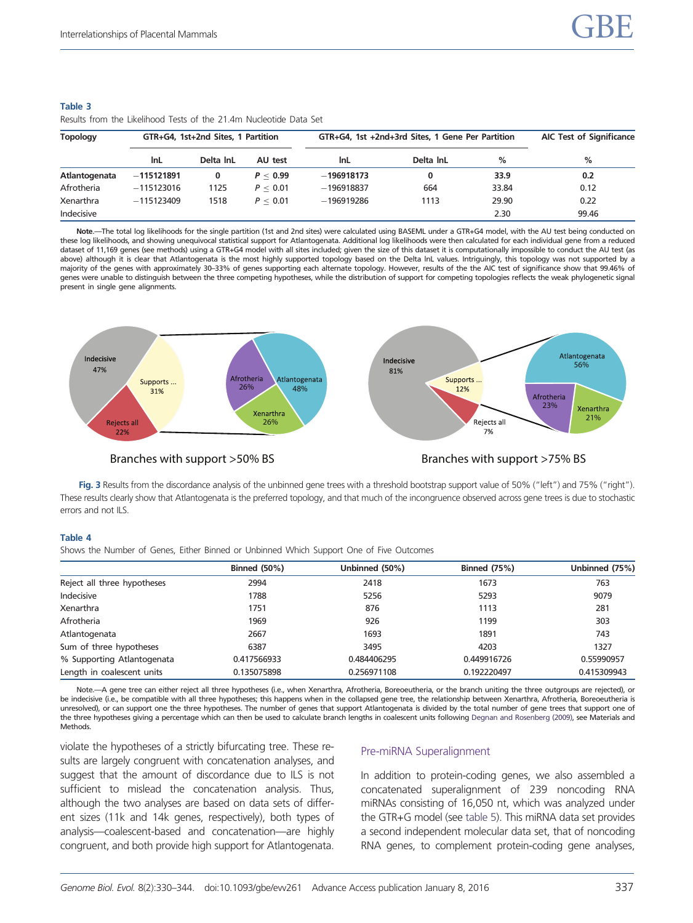| ווטומוס ווטוון נווכ בווכווווטטט וכוסט טו נווכ בו.הוון וזטכוכטנוטכ בענג ווטו |                                    |           |          |                                                  |                                 |       |       |  |  |
|-----------------------------------------------------------------------------|------------------------------------|-----------|----------|--------------------------------------------------|---------------------------------|-------|-------|--|--|
| Topology                                                                    | GTR+G4, 1st+2nd Sites, 1 Partition |           |          | GTR+G4, 1st +2nd+3rd Sites, 1 Gene Per Partition | <b>AIC Test of Significance</b> |       |       |  |  |
|                                                                             | InL                                | Delta InL | AU test  | InL                                              | Delta InL                       | %     | $\%$  |  |  |
| Atlantogenata                                                               | $-115121891$                       | 0         | P < 0.99 | $-196918173$                                     | 0                               | 33.9  | 0.2   |  |  |
| Afrotheria                                                                  | $-115123016$                       | 1125      | P < 0.01 | $-196918837$                                     | 664                             | 33.84 | 0.12  |  |  |
| Xenarthra                                                                   | $-115123409$                       | 1518      | P < 0.01 | $-196919286$                                     | 1113                            | 29.90 | 0.22  |  |  |
| Indecisive                                                                  |                                    |           |          |                                                  |                                 | 2.30  | 99.46 |  |  |
|                                                                             |                                    |           |          |                                                  |                                 |       |       |  |  |

#### <span id="page-9-0"></span>Table 3 Results from the Likelihood Tests of the 21.4m Nucleotide Data Set

Note.—The total log likelihoods for the single partition (1st and 2nd sites) were calculated using BASEML under a GTR+G4 model, with the AU test being conducted on these log likelihoods, and showing unequivocal statistical support for Atlantogenata. Additional log likelihoods were then calculated for each individual gene from a reduced dataset of 11,169 genes (see methods) using a GTR+G4 model with all sites included; given the size of this dataset it is computationally impossible to conduct the AU test (as above) although it is clear that Atlantogenata is the most highly supported topology based on the Delta lnL values. Intriguingly, this topology was not supported by a majority of the genes with approximately 30–33% of genes supporting each alternate topology. However, results of the the AIC test of significance show that 99.46% of genes were unable to distinguish between the three competing hypotheses, while the distribution of support for competing topologies reflects the weak phylogenetic signal present in single gene alignments.



# Branches with support >50% BS Branches with support >75% BS

Fig. 3 Results from the discordance analysis of the unbinned gene trees with a threshold bootstrap support value of 50% ("left") and 75% ("right"). These results clearly show that Atlantogenata is the preferred topology, and that much of the incongruence observed across gene trees is due to stochastic errors and not ILS.

#### Table 4

Shows the Number of Genes, Either Binned or Unbinned Which Support One of Five Outcomes

|                             | <b>Binned (50%)</b> | Unbinned (50%) | <b>Binned (75%)</b> | Unbinned (75%) |
|-----------------------------|---------------------|----------------|---------------------|----------------|
| Reject all three hypotheses | 2994                | 2418           | 1673                | 763            |
| Indecisive                  | 1788                | 5256           | 5293                | 9079           |
| Xenarthra                   | 1751                | 876            | 1113                | 281            |
| Afrotheria                  | 1969                | 926            | 1199                | 303            |
| Atlantogenata               | 2667                | 1693           | 1891                | 743            |
| Sum of three hypotheses     | 6387                | 3495           | 4203                | 1327           |
| % Supporting Atlantogenata  | 0.417566933         | 0.484406295    | 0.449916726         | 0.55990957     |
| Length in coalescent units  | 0.135075898         | 0.256971108    | 0.192220497         | 0.415309943    |

Note.—A gene tree can either reject all three hypotheses (i.e., when Xenarthra, Afrotheria, Boreoeutheria, or the branch uniting the three outgroups are rejected), or be indecisive (i.e., be compatible with all three hypotheses; this happens when in the collapsed gene tree, the relationship between Xenarthra. Afrotheria, Boreoeutheria is unresolved), or can support one the three hypotheses. The number of genes that support Atlantogenata is divided by the total number of gene trees that support one of the three hypotheses giving a percentage which can then be used to calculate branch lengths in coalescent units following [Degnan and Rosenberg \(2009\)](#page-14-0), see Materials and **Methods** 

violate the hypotheses of a strictly bifurcating tree. These results are largely congruent with concatenation analyses, and suggest that the amount of discordance due to ILS is not sufficient to mislead the concatenation analysis. Thus, although the two analyses are based on data sets of different sizes (11k and 14k genes, respectively), both types of analysis—coalescent-based and concatenation—are highly congruent, and both provide high support for Atlantogenata.

#### Pre-miRNA Superalignment

In addition to protein-coding genes, we also assembled a concatenated superalignment of 239 noncoding RNA miRNAs consisting of 16,050 nt, which was analyzed under the GTR+G model (see [table 5\)](#page-10-0). This miRNA data set provides a second independent molecular data set, that of noncoding RNA genes, to complement protein-coding gene analyses,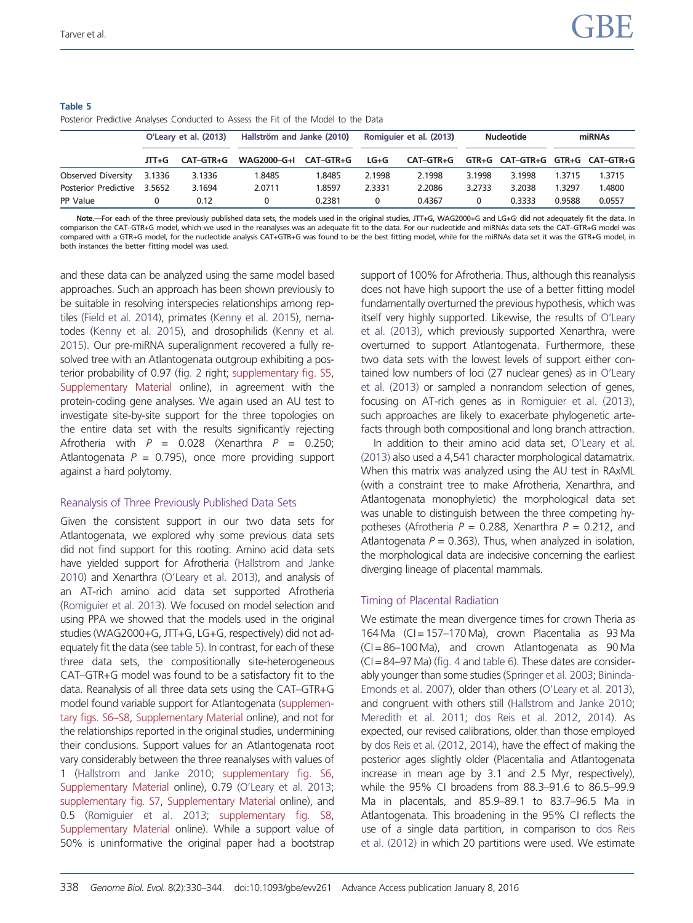|                      | O'Leary et al. (2013) |           | Hallström and Janke (2010) |           | Romiquier et al. (2013) |           | <b>Nucleotide</b> |                                 | miRNAs |        |
|----------------------|-----------------------|-----------|----------------------------|-----------|-------------------------|-----------|-------------------|---------------------------------|--------|--------|
|                      | JTT+G                 | CAT-GTR+G | WAG2000-G+I                | CAT-GTR+G | LG+G                    | CAT-GTR+G |                   | GTR+G CAT-GTR+G GTR+G CAT-GTR+G |        |        |
| Observed Diversity   | 3.1336                | 3.1336    | 1.8485                     | 1.8485    | 2.1998                  | 2.1998    | 3.1998            | 3.1998                          | .3715  | 1.3715 |
| Posterior Predictive | 3.5652                | 3.1694    | 2.0711                     | 1.8597    | 2.3331                  | 2.2086    | 3.2733            | 3.2038                          | 1.3297 | 1.4800 |
| PP Value             |                       | 0.12      |                            | 0.2381    |                         | 0.4367    | 0                 | 0.3333                          | 0.9588 | 0.0557 |

#### <span id="page-10-0"></span>Table 5 Posterior Predictive Analyses Conducted to Assess the Fit of the Model to the Data

Note.—For each of the three previously published data sets, the models used in the original studies, JTT+G, WAG2000+G and LG+G<sup>,</sup> did not adequately fit the data. In comparison the CAT–GTR+G model, which we used in the reanalyses was an adequate fit to the data. For our nucleotide and miRNAs data sets the CAT–GTR+G model was compared with a GTR+G model, for the nucleotide analysis CAT+GTR+G was found to be the best fitting model, while for the miRNAs data set it was the GTR+G model, in both instances the better fitting model was used.

and these data can be analyzed using the same model based approaches. Such an approach has been shown previously to be suitable in resolving interspecies relationships among reptiles [\(Field et al. 2014](#page-14-0)), primates [\(Kenny et al. 2015](#page-14-0)), nematodes [\(Kenny et al. 2015](#page-14-0)), and drosophilids [\(Kenny et al.](#page-14-0) [2015\)](#page-14-0). Our pre-miRNA superalignment recovered a fully resolved tree with an Atlantogenata outgroup exhibiting a posterior probability of 0.97 ([fig. 2](#page-8-0) right; [supplementary fig. S5,](http://gbe.oxfordjournals.org/lookup/suppl/doi:10.1093/gbe/evv261/-/DC1) [Supplementary Material](http://gbe.oxfordjournals.org/lookup/suppl/doi:10.1093/gbe/evv261/-/DC1) online), in agreement with the protein-coding gene analyses. We again used an AU test to investigate site-by-site support for the three topologies on the entire data set with the results significantly rejecting Afrotheria with  $P = 0.028$  (Xenarthra  $P = 0.250$ ; Atlantogenata  $P = 0.795$ , once more providing support against a hard polytomy.

# Reanalysis of Three Previously Published Data Sets

Given the consistent support in our two data sets for Atlantogenata, we explored why some previous data sets did not find support for this rooting. Amino acid data sets have yielded support for Afrotheria [\(Hallstrom and Janke](#page-14-0) [2010\)](#page-14-0) and Xenarthra ([O'Leary et al. 2013](#page-15-0)), and analysis of an AT-rich amino acid data set supported Afrotheria [\(Romiguier et al. 2013\)](#page-15-0). We focused on model selection and using PPA we showed that the models used in the original studies (WAG2000+G, JTT+G, LG+G, respectively) did not adequately fit the data (see table 5). In contrast, for each of these three data sets, the compositionally site-heterogeneous CAT–GTR+G model was found to be a satisfactory fit to the data. Reanalysis of all three data sets using the CAT–GTR+G model found variable support for Atlantogenata [\(supplemen](http://gbe.oxfordjournals.org/lookup/suppl/doi:10.1093/gbe/evv261/-/DC1)[tary figs. S6–S8](http://gbe.oxfordjournals.org/lookup/suppl/doi:10.1093/gbe/evv261/-/DC1), [Supplementary Material](http://gbe.oxfordjournals.org/lookup/suppl/doi:10.1093/gbe/evv261/-/DC1) online), and not for the relationships reported in the original studies, undermining their conclusions. Support values for an Atlantogenata root vary considerably between the three reanalyses with values of 1 ([Hallstrom and Janke 2010;](#page-14-0) [supplementary fig. S6,](http://gbe.oxfordjournals.org/lookup/suppl/doi:10.1093/gbe/evv261/-/DC1) [Supplementary Material](http://gbe.oxfordjournals.org/lookup/suppl/doi:10.1093/gbe/evv261/-/DC1) online), 0.79 [\(O'Leary et al. 2013;](#page-15-0) [supplementary fig. S7,](http://gbe.oxfordjournals.org/lookup/suppl/doi:10.1093/gbe/evv261/-/DC1) [Supplementary Material](http://gbe.oxfordjournals.org/lookup/suppl/doi:10.1093/gbe/evv261/-/DC1) online), and 0.5 ([Romiguier et al. 2013](#page-15-0); [supplementary fig. S8,](http://gbe.oxfordjournals.org/lookup/suppl/doi:10.1093/gbe/evv261/-/DC1) [Supplementary Material](http://gbe.oxfordjournals.org/lookup/suppl/doi:10.1093/gbe/evv261/-/DC1) online). While a support value of 50% is uninformative the original paper had a bootstrap support of 100% for Afrotheria. Thus, although this reanalysis does not have high support the use of a better fitting model fundamentally overturned the previous hypothesis, which was itself very highly supported. Likewise, the results of [O'Leary](#page-15-0) [et al. \(2013\),](#page-15-0) which previously supported Xenarthra, were overturned to support Atlantogenata. Furthermore, these two data sets with the lowest levels of support either contained low numbers of loci (27 nuclear genes) as in [O'Leary](#page-15-0) [et al. \(2013\)](#page-15-0) or sampled a nonrandom selection of genes, focusing on AT-rich genes as in [Romiguier et al. \(2013\)](#page-15-0), such approaches are likely to exacerbate phylogenetic artefacts through both compositional and long branch attraction.

In addition to their amino acid data set, [O'Leary et al.](#page-15-0) [\(2013\)](#page-15-0) also used a 4,541 character morphological datamatrix. When this matrix was analyzed using the AU test in RAxML (with a constraint tree to make Afrotheria, Xenarthra, and Atlantogenata monophyletic) the morphological data set was unable to distinguish between the three competing hypotheses (Afrotheria  $P = 0.288$ , Xenarthra  $P = 0.212$ , and Atlantogenata  $P = 0.363$ ). Thus, when analyzed in isolation, the morphological data are indecisive concerning the earliest diverging lineage of placental mammals.

# Timing of Placental Radiation

We estimate the mean divergence times for crown Theria as 164 Ma  $(CI = 157-170$  Ma), crown Placentalia as 93 Ma (CI = 86–100 Ma), and crown Atlantogenata as 90 Ma (CI = 84–97 Ma) ([fig. 4](#page-11-0) and [table 6\)](#page-12-0). These dates are considerably younger than some studies [\(Springer et al. 2003;](#page-15-0) [Bininda-](#page-14-0)[Emonds et al. 2007](#page-14-0)), older than others [\(O'Leary et al. 2013\)](#page-15-0), and congruent with others still [\(Hallstrom and Janke 2010](#page-14-0); [Meredith et al. 2011;](#page-15-0) [dos Reis et al. 2012,](#page-14-0) [2014](#page-14-0)). As expected, our revised calibrations, older than those employed by [dos Reis et al. \(2012, 2014](#page-14-0)), have the effect of making the posterior ages slightly older (Placentalia and Atlantogenata increase in mean age by 3.1 and 2.5 Myr, respectively), while the 95% CI broadens from 88.3–91.6 to 86.5–99.9 Ma in placentals, and 85.9–89.1 to 83.7–96.5 Ma in Atlantogenata. This broadening in the 95% CI reflects the use of a single data partition, in comparison to [dos Reis](#page-14-0) [et al. \(2012\)](#page-14-0) in which 20 partitions were used. We estimate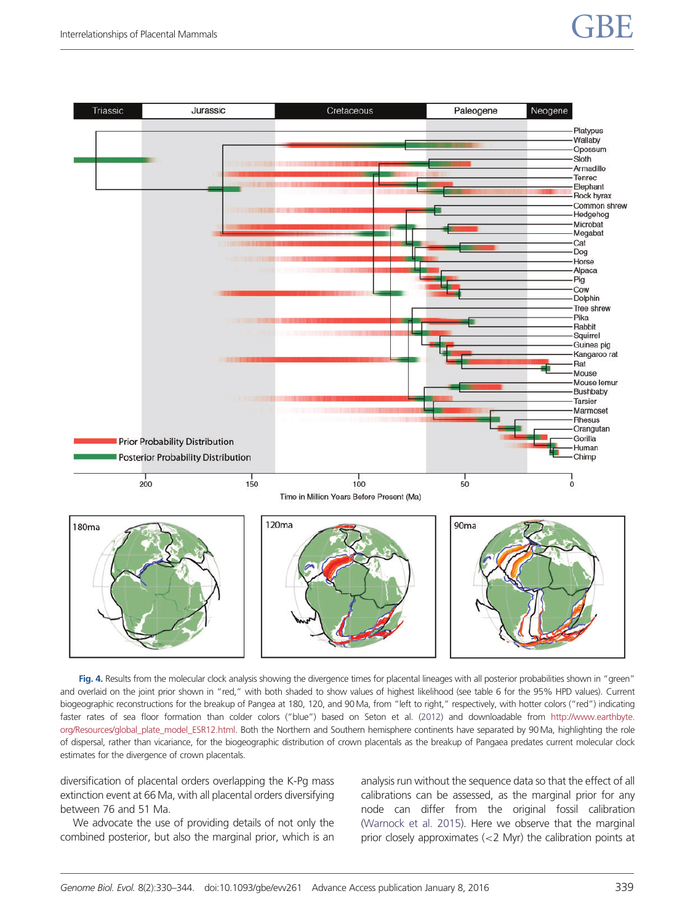# <span id="page-11-0"></span>Interrelationships of Placental Mammals  $\mathsf{GBE}$



Fig. 4. Results from the molecular clock analysis showing the divergence times for placental lineages with all posterior probabilities shown in "green" and overlaid on the joint prior shown in "red," with both shaded to show values of highest likelihood (see table 6 for the 95% HPD values). Current biogeographic reconstructions for the breakup of Pangea at 180, 120, and 90Ma, from "left to right," respectively, with hotter colors ("red") indicating faster rates of sea floor formation than colder colors ("blue") based on Seton et al. [\(2012\)](#page-15-0) and downloadable from [http://www.earthbyte.](http://www.earthbyte.org/Resources/global_plate_model_ESR12.html) [org/Resources/global\\_plate\\_model\\_ESR12.html](http://www.earthbyte.org/Resources/global_plate_model_ESR12.html). Both the Northern and Southern hemisphere continents have separated by 90 Ma, highlighting the role of dispersal, rather than vicariance, for the biogeographic distribution of crown placentals as the breakup of Pangaea predates current molecular clock estimates for the divergence of crown placentals.

diversification of placental orders overlapping the K-Pg mass extinction event at 66 Ma, with all placental orders diversifying between 76 and 51 Ma.

We advocate the use of providing details of not only the combined posterior, but also the marginal prior, which is an analysis run without the sequence data so that the effect of all calibrations can be assessed, as the marginal prior for any node can differ from the original fossil calibration ([Warnock et al. 2015](#page-15-0)). Here we observe that the marginal prior closely approximates (<2 Myr) the calibration points at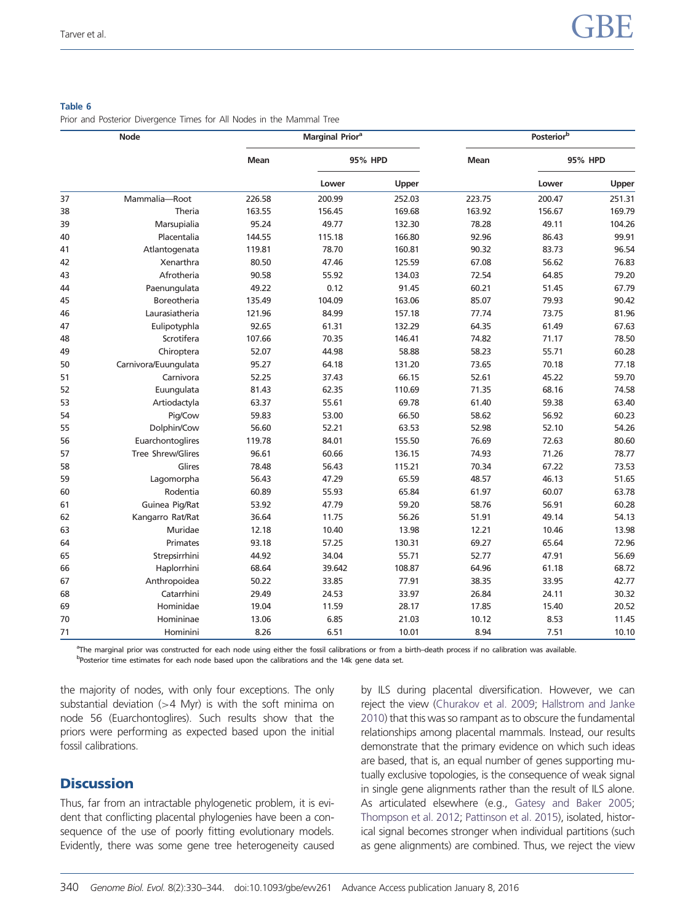#### <span id="page-12-0"></span>Table 6

Prior and Posterior Divergence Times for All Nodes in the Mammal Tree

| <b>Node</b> |                      | <b>Marginal Priora</b> |         |        | Posteriorb  |         |        |
|-------------|----------------------|------------------------|---------|--------|-------------|---------|--------|
|             |                      | <b>Mean</b>            | 95% HPD |        | <b>Mean</b> | 95% HPD |        |
|             |                      |                        | Lower   | Upper  |             | Lower   | Upper  |
| 37          | Mammalia-Root        | 226.58                 | 200.99  | 252.03 | 223.75      | 200.47  | 251.31 |
| 38          | Theria               | 163.55                 | 156.45  | 169.68 | 163.92      | 156.67  | 169.79 |
| 39          | Marsupialia          | 95.24                  | 49.77   | 132.30 | 78.28       | 49.11   | 104.26 |
| 40          | Placentalia          | 144.55                 | 115.18  | 166.80 | 92.96       | 86.43   | 99.91  |
| 41          | Atlantogenata        | 119.81                 | 78.70   | 160.81 | 90.32       | 83.73   | 96.54  |
| 42          | Xenarthra            | 80.50                  | 47.46   | 125.59 | 67.08       | 56.62   | 76.83  |
| 43          | Afrotheria           | 90.58                  | 55.92   | 134.03 | 72.54       | 64.85   | 79.20  |
| 44          | Paenungulata         | 49.22                  | 0.12    | 91.45  | 60.21       | 51.45   | 67.79  |
| 45          | <b>Boreotheria</b>   | 135.49                 | 104.09  | 163.06 | 85.07       | 79.93   | 90.42  |
| 46          | Laurasiatheria       | 121.96                 | 84.99   | 157.18 | 77.74       | 73.75   | 81.96  |
| 47          | Eulipotyphla         | 92.65                  | 61.31   | 132.29 | 64.35       | 61.49   | 67.63  |
| 48          | Scrotifera           | 107.66                 | 70.35   | 146.41 | 74.82       | 71.17   | 78.50  |
| 49          | Chiroptera           | 52.07                  | 44.98   | 58.88  | 58.23       | 55.71   | 60.28  |
| 50          | Carnivora/Euungulata | 95.27                  | 64.18   | 131.20 | 73.65       | 70.18   | 77.18  |
| 51          | Carnivora            | 52.25                  | 37.43   | 66.15  | 52.61       | 45.22   | 59.70  |
| 52          | Euungulata           | 81.43                  | 62.35   | 110.69 | 71.35       | 68.16   | 74.58  |
| 53          | Artiodactyla         | 63.37                  | 55.61   | 69.78  | 61.40       | 59.38   | 63.40  |
| 54          | Pig/Cow              | 59.83                  | 53.00   | 66.50  | 58.62       | 56.92   | 60.23  |
| 55          | Dolphin/Cow          | 56.60                  | 52.21   | 63.53  | 52.98       | 52.10   | 54.26  |
| 56          | Euarchontoglires     | 119.78                 | 84.01   | 155.50 | 76.69       | 72.63   | 80.60  |
| 57          | Tree Shrew/Glires    | 96.61                  | 60.66   | 136.15 | 74.93       | 71.26   | 78.77  |
| 58          | Glires               | 78.48                  | 56.43   | 115.21 | 70.34       | 67.22   | 73.53  |
| 59          | Lagomorpha           | 56.43                  | 47.29   | 65.59  | 48.57       | 46.13   | 51.65  |
| 60          | Rodentia             | 60.89                  | 55.93   | 65.84  | 61.97       | 60.07   | 63.78  |
| 61          | Guinea Pig/Rat       | 53.92                  | 47.79   | 59.20  | 58.76       | 56.91   | 60.28  |
| 62          | Kangarro Rat/Rat     | 36.64                  | 11.75   | 56.26  | 51.91       | 49.14   | 54.13  |
| 63          | Muridae              | 12.18                  | 10.40   | 13.98  | 12.21       | 10.46   | 13.98  |
| 64          | Primates             | 93.18                  | 57.25   | 130.31 | 69.27       | 65.64   | 72.96  |
| 65          | Strepsirrhini        | 44.92                  | 34.04   | 55.71  | 52.77       | 47.91   | 56.69  |
| 66          | Haplorrhini          | 68.64                  | 39.642  | 108.87 | 64.96       | 61.18   | 68.72  |
| 67          | Anthropoidea         | 50.22                  | 33.85   | 77.91  | 38.35       | 33.95   | 42.77  |
| 68          | Catarrhini           | 29.49                  | 24.53   | 33.97  | 26.84       | 24.11   | 30.32  |
| 69          | Hominidae            | 19.04                  | 11.59   | 28.17  | 17.85       | 15.40   | 20.52  |
| 70          | Homininae            | 13.06                  | 6.85    | 21.03  | 10.12       | 8.53    | 11.45  |
| 71          | Hominini             | 8.26                   | 6.51    | 10.01  | 8.94        | 7.51    | 10.10  |

a The marginal prior was constructed for each node using either the fossil calibrations or from a birth–death process if no calibration was available. bPosterior time estimates for each node based upon the calibrations and the 14k gene data set.

the majority of nodes, with only four exceptions. The only substantial deviation  $(>4$  Myr) is with the soft minima on node 56 (Euarchontoglires). Such results show that the priors were performing as expected based upon the initial fossil calibrations.

# **Discussion**

Thus, far from an intractable phylogenetic problem, it is evident that conflicting placental phylogenies have been a consequence of the use of poorly fitting evolutionary models. Evidently, there was some gene tree heterogeneity caused by ILS during placental diversification. However, we can reject the view [\(Churakov et al. 2009;](#page-14-0) [Hallstrom and Janke](#page-14-0) [2010](#page-14-0)) that this was so rampant as to obscure the fundamental relationships among placental mammals. Instead, our results demonstrate that the primary evidence on which such ideas are based, that is, an equal number of genes supporting mutually exclusive topologies, is the consequence of weak signal in single gene alignments rather than the result of ILS alone. As articulated elsewhere (e.g., [Gatesy and Baker 2005](#page-14-0); [Thompson et al. 2012](#page-15-0); [Pattinson et al. 2015\)](#page-15-0), isolated, historical signal becomes stronger when individual partitions (such as gene alignments) are combined. Thus, we reject the view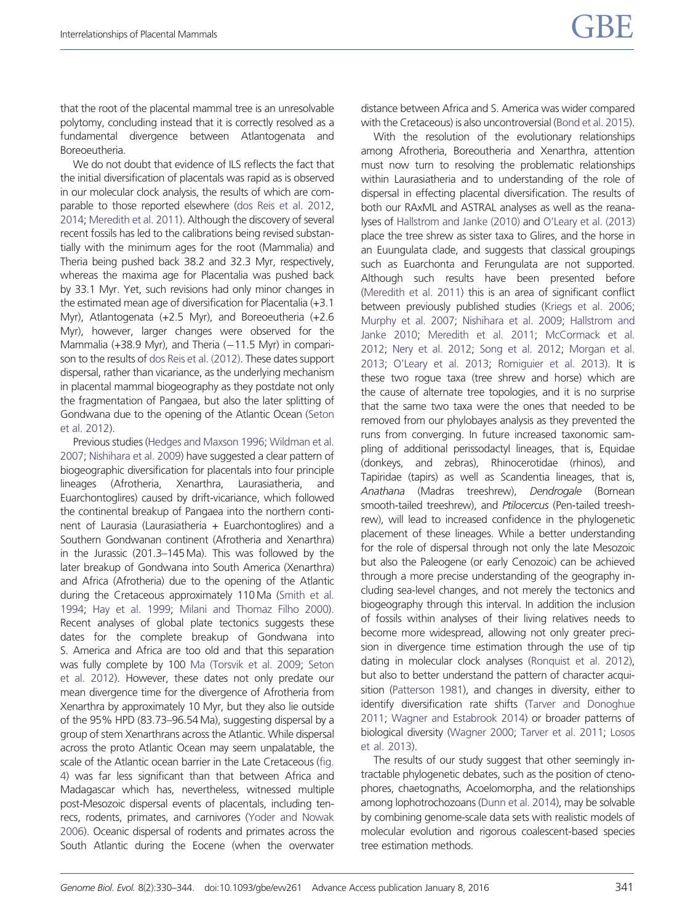that the root of the placental mammal tree is an unresolvable polytomy, concluding instead that it is correctly resolved as a fundamental divergence between Atlantogenata and Boreoeutheria.

We do not doubt that evidence of ILS reflects the fact that the initial diversification of placentals was rapid as is observed in our molecular clock analysis, the results of which are comparable to those reported elsewhere ([dos Reis et al. 2012,](#page-14-0) [2014;](#page-14-0) [Meredith et al. 2011](#page-15-0)). Although the discovery of several recent fossils has led to the calibrations being revised substantially with the minimum ages for the root (Mammalia) and Theria being pushed back 38.2 and 32.3 Myr, respectively, whereas the maxima age for Placentalia was pushed back by 33.1 Myr. Yet, such revisions had only minor changes in the estimated mean age of diversification for Placentalia (+3.1 Myr), Atlantogenata (+2.5 Myr), and Boreoeutheria (+2.6 Myr), however, larger changes were observed for the Mammalia (+38.9 Myr), and Theria (-11.5 Myr) in comparison to the results of [dos Reis et al. \(2012\)](#page-14-0). These dates support dispersal, rather than vicariance, as the underlying mechanism in placental mammal biogeography as they postdate not only the fragmentation of Pangaea, but also the later splitting of Gondwana due to the opening of the Atlantic Ocean [\(Seton](#page-15-0) [et al. 2012\)](#page-15-0).

Previous studies [\(Hedges and Maxson 1996](#page-14-0); [Wildman et al.](#page-15-0) [2007;](#page-15-0) [Nishihara et al. 2009](#page-15-0)) have suggested a clear pattern of biogeographic diversification for placentals into four principle lineages (Afrotheria, Xenarthra, Laurasiatheria, and Euarchontoglires) caused by drift-vicariance, which followed the continental breakup of Pangaea into the northern continent of Laurasia (Laurasiatheria + Euarchontoglires) and a Southern Gondwanan continent (Afrotheria and Xenarthra) in the Jurassic (201.3–145 Ma). This was followed by the later breakup of Gondwana into South America (Xenarthra) and Africa (Afrotheria) due to the opening of the Atlantic during the Cretaceous approximately 110 Ma [\(Smith et al.](#page-15-0) [1994;](#page-15-0) [Hay et al. 1999;](#page-14-0) [Milani and Thomaz Filho 2000](#page-15-0)). Recent analyses of global plate tectonics suggests these dates for the complete breakup of Gondwana into S. America and Africa are too old and that this separation was fully complete by 100 [Ma \(Torsvik et al. 2009](#page-15-0); [Seton](#page-15-0) [et al. 2012](#page-15-0)). However, these dates not only predate our mean divergence time for the divergence of Afrotheria from Xenarthra by approximately 10 Myr, but they also lie outside of the 95% HPD (83.73–96.54 Ma), suggesting dispersal by a group of stem Xenarthrans across the Atlantic. While dispersal across the proto Atlantic Ocean may seem unpalatable, the scale of the Atlantic ocean barrier in the Late Cretaceous ([fig.](#page-11-0) [4\)](#page-11-0) was far less significant than that between Africa and Madagascar which has, nevertheless, witnessed multiple post-Mesozoic dispersal events of placentals, including tenrecs, rodents, primates, and carnivores [\(Yoder and Nowak](#page-16-0) [2006\)](#page-16-0). Oceanic dispersal of rodents and primates across the South Atlantic during the Eocene (when the overwater

distance between Africa and S. America was wider compared with the Cretaceous) is also uncontroversial [\(Bond et al. 2015\)](#page-14-0).

With the resolution of the evolutionary relationships among Afrotheria, Boreoutheria and Xenarthra, attention must now turn to resolving the problematic relationships within Laurasiatheria and to understanding of the role of dispersal in effecting placental diversification. The results of both our RAxML and ASTRAL analyses as well as the reanalyses of [Hallstrom and Janke \(2010\)](#page-14-0) and [O'Leary et al. \(2013\)](#page-15-0) place the tree shrew as sister taxa to Glires, and the horse in an Euungulata clade, and suggests that classical groupings such as Euarchonta and Ferungulata are not supported. Although such results have been presented before ([Meredith et al. 2011](#page-15-0)) this is an area of significant conflict between previously published studies [\(Kriegs et al. 2006](#page-14-0); [Murphy et al. 2007;](#page-15-0) [Nishihara et al. 2009](#page-15-0); [Hallstrom and](#page-14-0) [Janke 2010;](#page-14-0) [Meredith et al. 2011;](#page-15-0) [McCormack et al.](#page-15-0) [2012](#page-15-0); [Nery et al. 2012](#page-15-0); [Song et al. 2012](#page-15-0); [Morgan et al.](#page-15-0) [2013](#page-15-0); [O'Leary et al. 2013](#page-15-0); [Romiguier et al. 2013\)](#page-15-0). It is these two rogue taxa (tree shrew and horse) which are the cause of alternate tree topologies, and it is no surprise that the same two taxa were the ones that needed to be removed from our phylobayes analysis as they prevented the runs from converging. In future increased taxonomic sampling of additional perissodactyl lineages, that is, Equidae (donkeys, and zebras), Rhinocerotidae (rhinos), and Tapiridae (tapirs) as well as Scandentia lineages, that is, Anathana (Madras treeshrew), Dendrogale (Bornean smooth-tailed treeshrew), and Ptilocercus (Pen-tailed treeshrew), will lead to increased confidence in the phylogenetic placement of these lineages. While a better understanding for the role of dispersal through not only the late Mesozoic but also the Paleogene (or early Cenozoic) can be achieved through a more precise understanding of the geography including sea-level changes, and not merely the tectonics and biogeography through this interval. In addition the inclusion of fossils within analyses of their living relatives needs to become more widespread, allowing not only greater precision in divergence time estimation through the use of tip dating in molecular clock analyses ([Ronquist et al. 2012\)](#page-15-0), but also to better understand the pattern of character acquisition [\(Patterson 1981\)](#page-15-0), and changes in diversity, either to identify diversification rate shifts [\(Tarver and Donoghue](#page-15-0) [2011](#page-15-0); [Wagner and Estabrook 2014](#page-15-0)) or broader patterns of biological diversity [\(Wagner 2000;](#page-15-0) [Tarver et al. 2011;](#page-15-0) [Losos](#page-14-0) [et al. 2013\)](#page-14-0).

The results of our study suggest that other seemingly intractable phylogenetic debates, such as the position of ctenophores, chaetognaths, Acoelomorpha, and the relationships among lophotrochozoans ([Dunn et al. 2014\)](#page-14-0), may be solvable by combining genome-scale data sets with realistic models of molecular evolution and rigorous coalescent-based species tree estimation methods.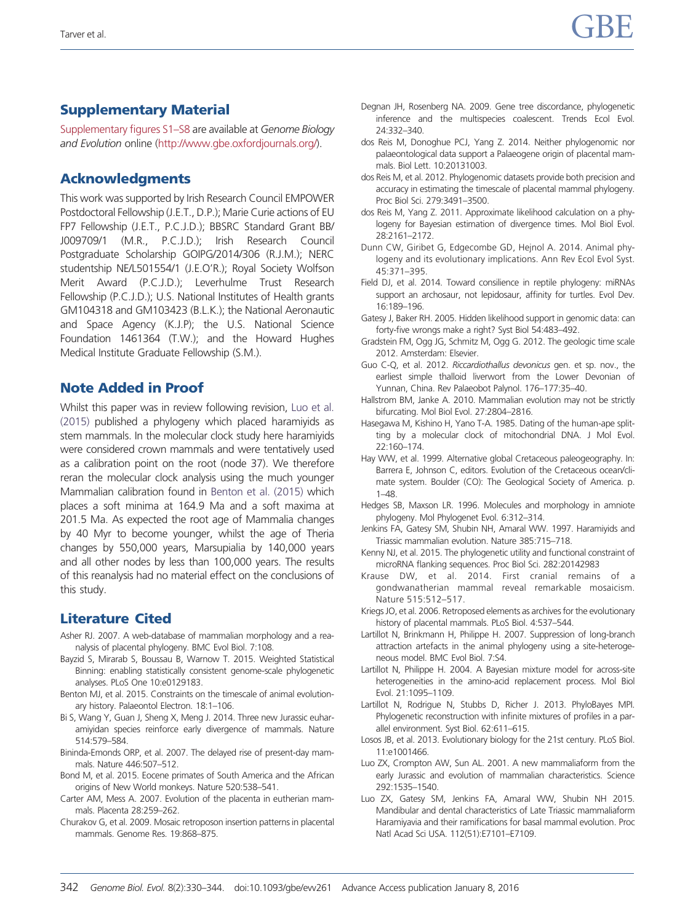# <span id="page-14-0"></span>Supplementary Material

[Supplementary figures S1–S8](http://gbe.oxfordjournals.org/lookup/suppl/doi:10.1093/gbe/evv261/-/DC1) are available at Genome Biology and Evolution online [\(http://www.gbe.oxfordjournals.org/](http://www.gbe.oxfordjournals.org/)).

# Acknowledgments

This work was supported by Irish Research Council EMPOWER Postdoctoral Fellowship (J.E.T., D.P.); Marie Curie actions of EU FP7 Fellowship (J.E.T., P.C.J.D.); BBSRC Standard Grant BB/ J009709/1 (M.R., P.C.J.D.); Irish Research Council Postgraduate Scholarship GOIPG/2014/306 (R.J.M.); NERC studentship NE/L501554/1 (J.E.O'R.); Royal Society Wolfson Merit Award (P.C.J.D.); Leverhulme Trust Research Fellowship (P.C.J.D.); U.S. National Institutes of Health grants GM104318 and GM103423 (B.L.K.); the National Aeronautic and Space Agency (K.J.P); the U.S. National Science Foundation 1461364 (T.W.); and the Howard Hughes Medical Institute Graduate Fellowship (S.M.).

# Note Added in Proof

Whilst this paper was in review following revision, Luo et al. (2015) published a phylogeny which placed haramiyids as stem mammals. In the molecular clock study here haramiyids were considered crown mammals and were tentatively used as a calibration point on the root (node 37). We therefore reran the molecular clock analysis using the much younger Mammalian calibration found in Benton et al. (2015) which places a soft minima at 164.9 Ma and a soft maxima at 201.5 Ma. As expected the root age of Mammalia changes by 40 Myr to become younger, whilst the age of Theria changes by 550,000 years, Marsupialia by 140,000 years and all other nodes by less than 100,000 years. The results of this reanalysis had no material effect on the conclusions of this study.

# Literature Cited

- Asher RJ. 2007. A web-database of mammalian morphology and a reanalysis of placental phylogeny. BMC Evol Biol. 7:108.
- Bayzid S, Mirarab S, Boussau B, Warnow T. 2015. Weighted Statistical Binning: enabling statistically consistent genome-scale phylogenetic analyses. PLoS One 10:e0129183.
- Benton MJ, et al. 2015. Constraints on the timescale of animal evolutionary history. Palaeontol Electron. 18:1–106.
- Bi S, Wang Y, Guan J, Sheng X, Meng J. 2014. Three new Jurassic euharamiyidan species reinforce early divergence of mammals. Nature 514:579–584.
- Bininda-Emonds ORP, et al. 2007. The delayed rise of present-day mammals. Nature 446:507–512.
- Bond M, et al. 2015. Eocene primates of South America and the African origins of New World monkeys. Nature 520:538–541.
- Carter AM, Mess A. 2007. Evolution of the placenta in eutherian mammals. Placenta 28:259–262.
- Churakov G, et al. 2009. Mosaic retroposon insertion patterns in placental mammals. Genome Res. 19:868–875.
- Degnan JH, Rosenberg NA. 2009. Gene tree discordance, phylogenetic inference and the multispecies coalescent. Trends Ecol Evol. 24:332–340.
- dos Reis M, Donoghue PCJ, Yang Z. 2014. Neither phylogenomic nor palaeontological data support a Palaeogene origin of placental mammals. Biol Lett. 10:20131003.
- dos Reis M, et al. 2012. Phylogenomic datasets provide both precision and accuracy in estimating the timescale of placental mammal phylogeny. Proc Biol Sci. 279:3491–3500.
- dos Reis M, Yang Z. 2011. Approximate likelihood calculation on a phylogeny for Bayesian estimation of divergence times. Mol Biol Evol. 28:2161–2172.
- Dunn CW, Giribet G, Edgecombe GD, Hejnol A. 2014. Animal phylogeny and its evolutionary implications. Ann Rev Ecol Evol Syst. 45:371–395.
- Field DJ, et al. 2014. Toward consilience in reptile phylogeny: miRNAs support an archosaur, not lepidosaur, affinity for turtles. Evol Dev. 16:189–196.
- Gatesy J, Baker RH. 2005. Hidden likelihood support in genomic data: can forty-five wrongs make a right? Syst Biol 54:483–492.
- Gradstein FM, Ogg JG, Schmitz M, Ogg G. 2012. The geologic time scale 2012. Amsterdam: Elsevier.
- Guo C-Q, et al. 2012. Riccardiothallus devonicus gen. et sp. nov., the earliest simple thalloid liverwort from the Lower Devonian of Yunnan, China. Rev Palaeobot Palynol. 176–177:35–40.
- Hallstrom BM, Janke A. 2010. Mammalian evolution may not be strictly bifurcating. Mol Biol Evol. 27:2804–2816.
- Hasegawa M, Kishino H, Yano T-A. 1985. Dating of the human-ape splitting by a molecular clock of mitochondrial DNA. J Mol Evol. 22:160–174.
- Hay WW, et al. 1999. Alternative global Cretaceous paleogeography. In: Barrera E, Johnson C, editors. Evolution of the Cretaceous ocean/climate system. Boulder (CO): The Geological Society of America. p. 1–48.
- Hedges SB, Maxson LR. 1996. Molecules and morphology in amniote phylogeny. Mol Phylogenet Evol. 6:312–314.
- Jenkins FA, Gatesy SM, Shubin NH, Amaral WW. 1997. Haramiyids and Triassic mammalian evolution. Nature 385:715–718.
- Kenny NJ, et al. 2015. The phylogenetic utility and functional constraint of microRNA flanking sequences. Proc Biol Sci. 282:20142983
- Krause DW, et al. 2014. First cranial remains of a gondwanatherian mammal reveal remarkable mosaicism. Nature 515:512–517.
- Kriegs JO, et al. 2006. Retroposed elements as archives for the evolutionary history of placental mammals. PLoS Biol. 4:537–544.
- Lartillot N, Brinkmann H, Philippe H. 2007. Suppression of long-branch attraction artefacts in the animal phylogeny using a site-heterogeneous model. BMC Evol Biol. 7:S4.
- Lartillot N, Philippe H. 2004. A Bayesian mixture model for across-site heterogeneities in the amino-acid replacement process. Mol Biol Evol. 21:1095–1109.
- Lartillot N, Rodrigue N, Stubbs D, Richer J. 2013. PhyloBayes MPI. Phylogenetic reconstruction with infinite mixtures of profiles in a parallel environment. Syst Biol. 62:611–615.
- Losos JB, et al. 2013. Evolutionary biology for the 21st century. PLoS Biol. 11:e1001466.
- Luo ZX, Crompton AW, Sun AL. 2001. A new mammaliaform from the early Jurassic and evolution of mammalian characteristics. Science 292:1535–1540.
- Luo ZX, Gatesy SM, Jenkins FA, Amaral WW, Shubin NH 2015. Mandibular and dental characteristics of Late Triassic mammaliaform Haramiyavia and their ramifications for basal mammal evolution. Proc Natl Acad Sci USA. 112(51):E7101–E7109.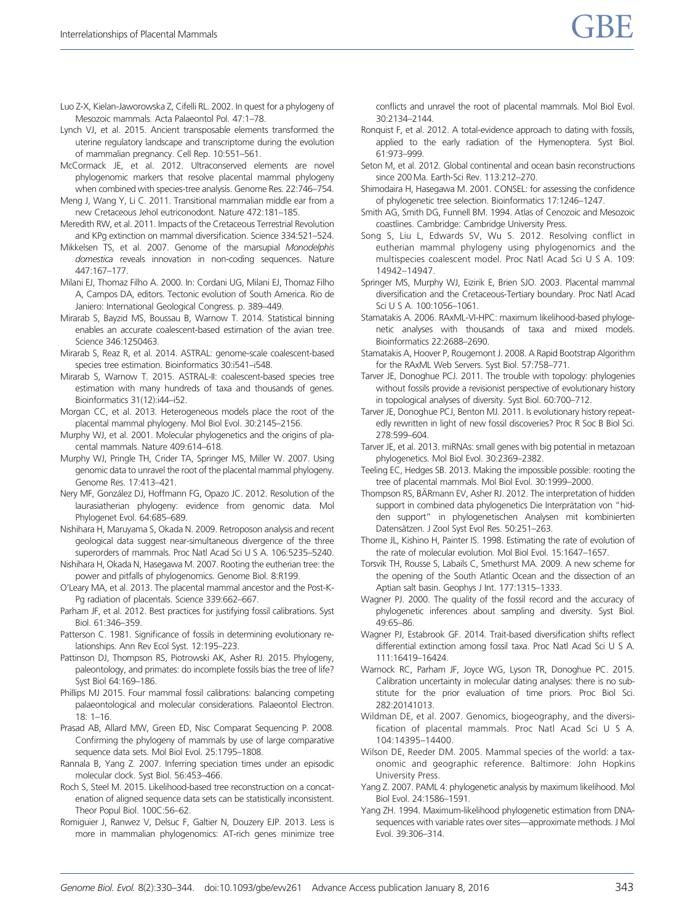- <span id="page-15-0"></span>Luo Z-X, Kielan-Jaworowska Z, Cifelli RL. 2002. In quest for a phylogeny of Mesozoic mammals. Acta Palaeontol Pol. 47:1–78.
- Lynch VJ, et al. 2015. Ancient transposable elements transformed the uterine regulatory landscape and transcriptome during the evolution of mammalian pregnancy. Cell Rep. 10:551–561.
- McCormack JE, et al. 2012. Ultraconserved elements are novel phylogenomic markers that resolve placental mammal phylogeny when combined with species-tree analysis. Genome Res. 22:746–754.
- Meng J, Wang Y, Li C. 2011. Transitional mammalian middle ear from a new Cretaceous Jehol eutriconodont. Nature 472:181–185.
- Meredith RW, et al. 2011. Impacts of the Cretaceous Terrestrial Revolution and KPg extinction on mammal diversification. Science 334:521–524.
- Mikkelsen TS, et al. 2007. Genome of the marsupial Monodelphis domestica reveals innovation in non-coding sequences. Nature 447:167–177.
- Milani EJ, Thomaz Filho A. 2000. In: Cordani UG, Milani EJ, Thomaz Filho A, Campos DA, editors. Tectonic evolution of South America. Rio de Janiero: International Geological Congress. p. 389–449.
- Mirarab S, Bayzid MS, Boussau B, Warnow T. 2014. Statistical binning enables an accurate coalescent-based estimation of the avian tree. Science 346:1250463.
- Mirarab S, Reaz R, et al. 2014. ASTRAL: genome-scale coalescent-based species tree estimation. Bioinformatics 30:i541-i548.
- Mirarab S, Warnow T. 2015. ASTRAL-II: coalescent-based species tree estimation with many hundreds of taxa and thousands of genes. Bioinformatics 31(12):i44-i52.
- Morgan CC, et al. 2013. Heterogeneous models place the root of the placental mammal phylogeny. Mol Biol Evol. 30:2145–2156.
- Murphy WJ, et al. 2001. Molecular phylogenetics and the origins of placental mammals. Nature 409:614–618.
- Murphy WJ, Pringle TH, Crider TA, Springer MS, Miller W. 2007. Using genomic data to unravel the root of the placental mammal phylogeny. Genome Res. 17:413–421.
- Nery MF, González DJ, Hoffmann FG, Opazo JC. 2012. Resolution of the laurasiatherian phylogeny: evidence from genomic data. Mol Phylogenet Evol. 64:685–689.
- Nishihara H, Maruyama S, Okada N. 2009. Retroposon analysis and recent geological data suggest near-simultaneous divergence of the three superorders of mammals. Proc Natl Acad Sci U S A. 106:5235–5240.
- Nishihara H, Okada N, Hasegawa M. 2007. Rooting the eutherian tree: the power and pitfalls of phylogenomics. Genome Biol. 8:R199.
- O'Leary MA, et al. 2013. The placental mammal ancestor and the Post-K-Pg radiation of placentals. Science 339:662–667.
- Parham JF, et al. 2012. Best practices for justifying fossil calibrations. Syst Biol. 61:346–359.
- Patterson C. 1981. Significance of fossils in determining evolutionary relationships. Ann Rev Ecol Syst. 12:195–223.
- Pattinson DJ, Thompson RS, Piotrowski AK, Asher RJ. 2015. Phylogeny, paleontology, and primates: do incomplete fossils bias the tree of life? Syst Biol 64:169–186.
- Phillips MJ 2015. Four mammal fossil calibrations: balancing competing palaeontological and molecular considerations. Palaeontol Electron. 18: 1–16.
- Prasad AB, Allard MW, Green ED, Nisc Comparat Sequencing P. 2008. Confirming the phylogeny of mammals by use of large comparative sequence data sets. Mol Biol Evol. 25:1795–1808.
- Rannala B, Yang Z. 2007. Inferring speciation times under an episodic molecular clock. Syst Biol. 56:453–466.
- Roch S, Steel M. 2015. Likelihood-based tree reconstruction on a concatenation of aligned sequence data sets can be statistically inconsistent. Theor Popul Biol. 100C:56–62.
- Romiguier J, Ranwez V, Delsuc F, Galtier N, Douzery EJP. 2013. Less is more in mammalian phylogenomics: AT-rich genes minimize tree

conflicts and unravel the root of placental mammals. Mol Biol Evol. 30:2134–2144.

- Ronquist F, et al. 2012. A total-evidence approach to dating with fossils, applied to the early radiation of the Hymenoptera. Syst Biol. 61:973–999.
- Seton M, et al. 2012. Global continental and ocean basin reconstructions since 200 Ma. Earth-Sci Rev. 113:212–270.
- Shimodaira H, Hasegawa M. 2001. CONSEL: for assessing the confidence of phylogenetic tree selection. Bioinformatics 17:1246–1247.
- Smith AG, Smith DG, Funnell BM. 1994. Atlas of Cenozoic and Mesozoic coastlines. Cambridge: Cambridge University Press.
- Song S, Liu L, Edwards SV, Wu S. 2012. Resolving conflict in eutherian mammal phylogeny using phylogenomics and the multispecies coalescent model. Proc Natl Acad Sci U S A. 109: 14942–14947.
- Springer MS, Murphy WJ, Eizirik E, Brien SJO. 2003. Placental mammal diversification and the Cretaceous-Tertiary boundary. Proc Natl Acad Sci U S A. 100:1056–1061.
- Stamatakis A. 2006. RAxML-VI-HPC: maximum likelihood-based phylogenetic analyses with thousands of taxa and mixed models. Bioinformatics 22:2688–2690.
- Stamatakis A, Hoover P, Rougemont J. 2008. A Rapid Bootstrap Algorithm for the RAxML Web Servers. Syst Biol. 57:758–771.
- Tarver JE, Donoghue PCJ. 2011. The trouble with topology: phylogenies without fossils provide a revisionist perspective of evolutionary history in topological analyses of diversity. Syst Biol. 60:700–712.
- Tarver JE, Donoghue PCJ, Benton MJ. 2011. Is evolutionary history repeatedly rewritten in light of new fossil discoveries? Proc R Soc B Biol Sci. 278:599–604.
- Tarver JE, et al. 2013. miRNAs: small genes with big potential in metazoan phylogenetics. Mol Biol Evol. 30:2369–2382.
- Teeling EC, Hedges SB. 2013. Making the impossible possible: rooting the tree of placental mammals. Mol Biol Evol. 30:1999–2000.
- Thompson RS, BÄRmann EV, Asher RJ. 2012. The interpretation of hidden support in combined data phylogenetics Die Interprätation von "hidden support" in phylogenetischen Analysen mit kombinierten Datensätzen. J Zool Syst Evol Res. 50:251–263.
- Thorne JL, Kishino H, Painter IS. 1998. Estimating the rate of evolution of the rate of molecular evolution. Mol Biol Evol. 15:1647–1657.
- Torsvik TH, Rousse S, Labails C, Smethurst MA. 2009. A new scheme for the opening of the South Atlantic Ocean and the dissection of an Aptian salt basin. Geophys J Int. 177:1315–1333.
- Wagner PJ. 2000. The quality of the fossil record and the accuracy of phylogenetic inferences about sampling and diversity. Syst Biol. 49:65–86.
- Wagner PJ, Estabrook GF. 2014. Trait-based diversification shifts reflect differential extinction among fossil taxa. Proc Natl Acad Sci U S A. 111:16419–16424.
- Warnock RC, Parham JF, Joyce WG, Lyson TR, Donoghue PC. 2015. Calibration uncertainty in molecular dating analyses: there is no substitute for the prior evaluation of time priors. Proc Biol Sci. 282:20141013.
- Wildman DE, et al. 2007. Genomics, biogeography, and the diversification of placental mammals. Proc Natl Acad Sci U S A. 104:14395–14400.
- Wilson DE, Reeder DM. 2005. Mammal species of the world: a taxonomic and geographic reference. Baltimore: John Hopkins University Press.
- Yang Z. 2007. PAML 4: phylogenetic analysis by maximum likelihood. Mol Biol Evol. 24:1586–1591.
- Yang ZH. 1994. Maximum-likelihood phylogenetic estimation from DNAsequences with variable rates over sites—approximate methods. J Mol Evol. 39:306–314.